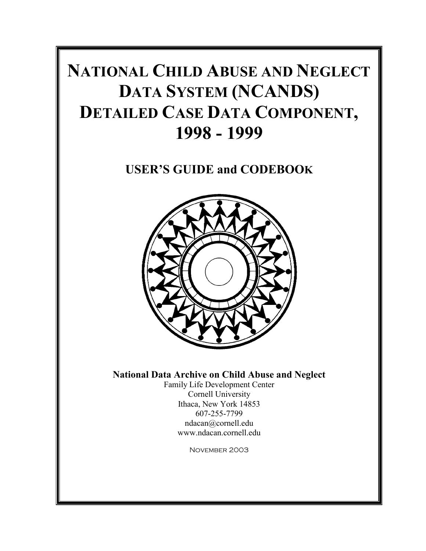# **NATIONAL CHILD ABUSE AND NEGLECT DATA SYSTEM (NCANDS) DETAILED CASE DATA COMPONENT, 1998 - 1999**

**USER'S GUIDE and CODEBOOK** 



**National Data Archive on Child Abuse and Neglect** 

Family Life Development Center Cornell University Ithaca, New York 14853 607-255-7799 [ndacan@cornell.edu](mailto:ndacan@cornell.edu)  www.ndacan.cornell.edu

November 2003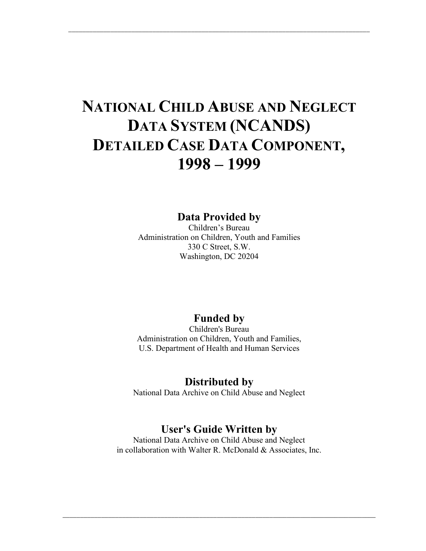# **NATIONAL CHILD ABUSE AND NEGLECT DATA SYSTEM (NCANDS) DETAILED CASE DATA COMPONENT, 1998 – 1999**

\_\_\_\_\_\_\_\_\_\_\_\_\_\_\_\_\_\_\_\_\_\_\_\_\_\_\_\_\_\_\_\_\_\_\_\_\_\_\_\_\_\_\_\_\_\_\_\_\_\_\_\_\_\_\_\_\_\_\_\_\_\_\_\_\_\_\_\_\_\_\_\_\_\_\_\_\_\_\_\_\_\_\_\_\_\_

**Data Provided by** 

Children's Bureau Administration on Children, Youth and Families 330 C Street, S.W. Washington, DC 20204

# **Funded by**

Children's Bureau Administration on Children, Youth and Families, U.S. Department of Health and Human Services

## **Distributed by**

National Data Archive on Child Abuse and Neglect

# **User's Guide Written by**

National Data Archive on Child Abuse and Neglect in collaboration with Walter R. McDonald & Associates, Inc.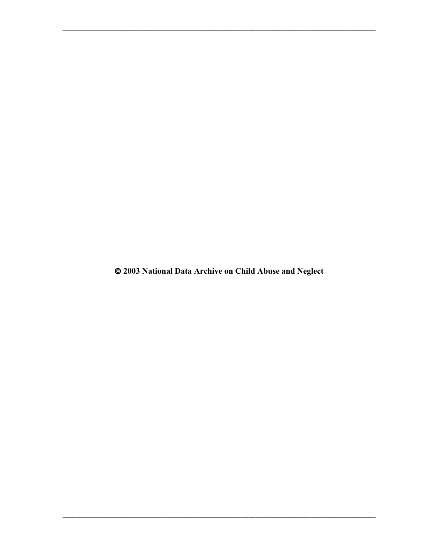@ 2003 National Data Archive on Child Abuse and Neglect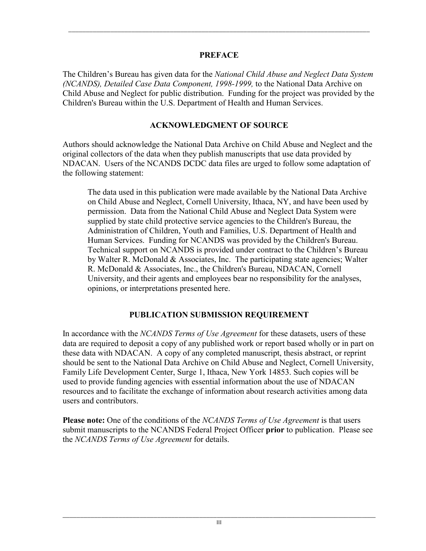#### **PREFACE**

\_\_\_\_\_\_\_\_\_\_\_\_\_\_\_\_\_\_\_\_\_\_\_\_\_\_\_\_\_\_\_\_\_\_\_\_\_\_\_\_\_\_\_\_\_\_\_\_\_\_\_\_\_\_\_\_\_\_\_\_\_\_\_\_\_\_\_\_\_\_\_\_\_\_\_\_\_\_\_\_\_\_\_\_\_\_

The Children's Bureau has given data for the *National Child Abuse and Neglect Data System (NCANDS), Detailed Case Data Component, 1998-1999,* to the National Data Archive on Child Abuse and Neglect for public distribution. Funding for the project was provided by the Children's Bureau within the U.S. Department of Health and Human Services.

#### **ACKNOWLEDGMENT OF SOURCE**

Authors should acknowledge the National Data Archive on Child Abuse and Neglect and the original collectors of the data when they publish manuscripts that use data provided by NDACAN. Users of the NCANDS DCDC data files are urged to follow some adaptation of the following statement:

The data used in this publication were made available by the National Data Archive on Child Abuse and Neglect, Cornell University, Ithaca, NY, and have been used by permission. Data from the National Child Abuse and Neglect Data System were supplied by state child protective service agencies to the Children's Bureau, the Administration of Children, Youth and Families, U.S. Department of Health and Human Services. Funding for NCANDS was provided by the Children's Bureau. Technical support on NCANDS is provided under contract to the Children's Bureau by Walter R. McDonald  $\&$  Associates, Inc. The participating state agencies; Walter R. McDonald & Associates, Inc., the Children's Bureau, NDACAN, Cornell University, and their agents and employees bear no responsibility for the analyses, opinions, or interpretations presented here.

### **PUBLICATION SUBMISSION REQUIREMENT**

In accordance with the *NCANDS Terms of Use Agreement* for these datasets, users of these data are required to deposit a copy of any published work or report based wholly or in part on these data with NDACAN. A copy of any completed manuscript, thesis abstract, or reprint should be sent to the National Data Archive on Child Abuse and Neglect, Cornell University, Family Life Development Center, Surge 1, Ithaca, New York 14853. Such copies will be used to provide funding agencies with essential information about the use of NDACAN resources and to facilitate the exchange of information about research activities among data users and contributors.

**Please note:** One of the conditions of the *NCANDS Terms of Use Agreement* is that users submit manuscripts to the NCANDS Federal Project Officer **prior** to publication. Please see the *NCANDS Terms of Use Agreement* for details.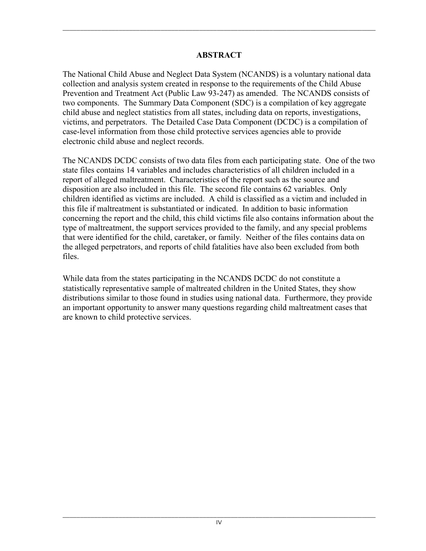## **ABSTRACT**

\_\_\_\_\_\_\_\_\_\_\_\_\_\_\_\_\_\_\_\_\_\_\_\_\_\_\_\_\_\_\_\_\_\_\_\_\_\_\_\_\_\_\_\_\_\_\_\_\_\_\_\_\_\_\_\_\_\_\_\_\_\_\_\_\_\_\_\_\_\_\_\_\_\_\_\_\_\_\_\_\_\_\_\_\_\_\_\_\_\_

The National Child Abuse and Neglect Data System (NCANDS) is a voluntary national data collection and analysis system created in response to the requirements of the Child Abuse Prevention and Treatment Act (Public Law 93-247) as amended. The NCANDS consists of two components. The Summary Data Component (SDC) is a compilation of key aggregate child abuse and neglect statistics from all states, including data on reports, investigations, victims, and perpetrators. The Detailed Case Data Component (DCDC) is a compilation of case-level information from those child protective services agencies able to provide electronic child abuse and neglect records.

The NCANDS DCDC consists of two data files from each participating state. One of the two state files contains 14 variables and includes characteristics of all children included in a report of alleged maltreatment. Characteristics of the report such as the source and disposition are also included in this file. The second file contains 62 variables. Only children identified as victims are included. A child is classified as a victim and included in this file if maltreatment is substantiated or indicated. In addition to basic information concerning the report and the child, this child victims file also contains information about the type of maltreatment, the support services provided to the family, and any special problems that were identified for the child, caretaker, or family. Neither of the files contains data on the alleged perpetrators, and reports of child fatalities have also been excluded from both files.

While data from the states participating in the NCANDS DCDC do not constitute a statistically representative sample of maltreated children in the United States, they show distributions similar to those found in studies using national data. Furthermore, they provide an important opportunity to answer many questions regarding child maltreatment cases that are known to child protective services.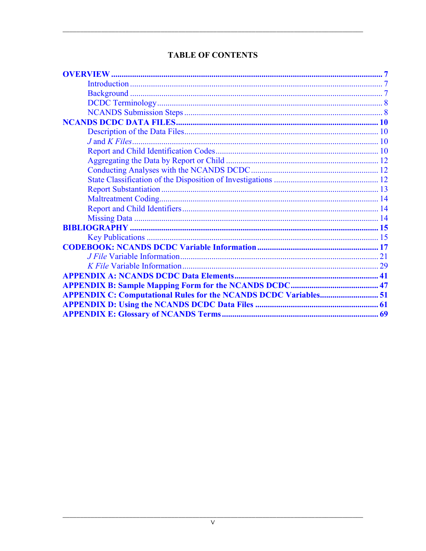| <b>APPENDIX C: Computational Rules for the NCANDS DCDC Variables 51</b> |  |
|-------------------------------------------------------------------------|--|
|                                                                         |  |
|                                                                         |  |

## **TABLE OF CONTENTS**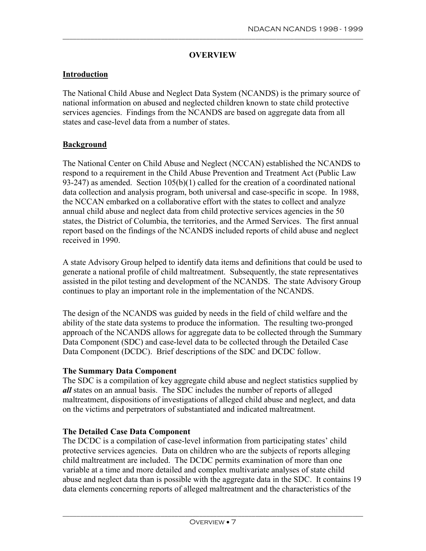#### **OVERVIEW**

<span id="page-8-0"></span>\_\_\_\_\_\_\_\_\_\_\_\_\_\_\_\_\_\_\_\_\_\_\_\_\_\_\_\_\_\_\_\_\_\_\_\_\_\_\_\_\_\_\_\_\_\_\_\_\_\_\_\_\_\_\_\_\_\_\_\_\_\_\_\_\_\_\_\_\_\_\_\_\_\_\_\_\_\_\_\_\_\_\_\_\_\_

#### **Introduction**

The National Child Abuse and Neglect Data System (NCANDS) is the primary source of national information on abused and neglected children known to state child protective services agencies. Findings from the NCANDS are based on aggregate data from all states and case-level data from a number of states.

#### **Background**

The National Center on Child Abuse and Neglect (NCCAN) established the NCANDS to respond to a requirement in the Child Abuse Prevention and Treatment Act (Public Law 93-247) as amended. Section 105(b)(1) called for the creation of a coordinated national data collection and analysis program, both universal and case-specific in scope. In 1988, the NCCAN embarked on a collaborative effort with the states to collect and analyze annual child abuse and neglect data from child protective services agencies in the 50 states, the District of Columbia, the territories, and the Armed Services. The first annual report based on the findings of the NCANDS included reports of child abuse and neglect received in 1990.

A state Advisory Group helped to identify data items and definitions that could be used to generate a national profile of child maltreatment. Subsequently, the state representatives assisted in the pilot testing and development of the NCANDS. The state Advisory Group continues to play an important role in the implementation of the NCANDS.

The design of the NCANDS was guided by needs in the field of child welfare and the ability of the state data systems to produce the information. The resulting two-pronged approach of the NCANDS allows for aggregate data to be collected through the Summary Data Component (SDC) and case-level data to be collected through the Detailed Case Data Component (DCDC). Brief descriptions of the SDC and DCDC follow.

#### **The Summary Data Component**

The SDC is a compilation of key aggregate child abuse and neglect statistics supplied by *all* states on an annual basis. The SDC includes the number of reports of alleged maltreatment, dispositions of investigations of alleged child abuse and neglect, and data on the victims and perpetrators of substantiated and indicated maltreatment.

#### **The Detailed Case Data Component**

The DCDC is a compilation of case-level information from participating states' child protective services agencies. Data on children who are the subjects of reports alleging child maltreatment are included. The DCDC permits examination of more than one variable at a time and more detailed and complex multivariate analyses of state child abuse and neglect data than is possible with the aggregate data in the SDC. It contains 19 data elements concerning reports of alleged maltreatment and the characteristics of the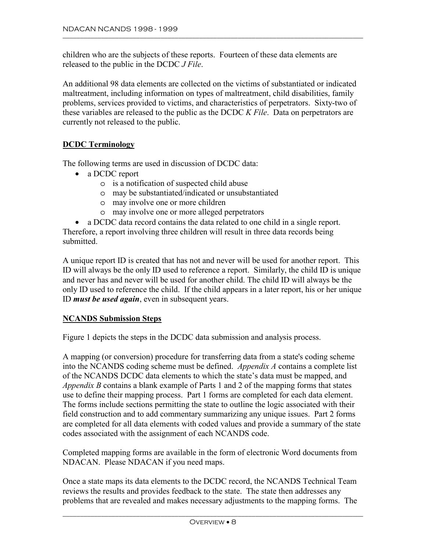<span id="page-9-0"></span>children who are the subjects of these reports. Fourteen of these data elements are released to the public in the DCDC *J File*.

An additional 98 data elements are collected on the victims of substantiated or indicated maltreatment, including information on types of maltreatment, child disabilities, family problems, services provided to victims, and characteristics of perpetrators. Sixty-two of these variables are released to the public as the DCDC *K File*. Data on perpetrators are currently not released to the public.

#### **DCDC Terminology**

The following terms are used in discussion of DCDC data:

- a DCDC report
	- o is a notification of suspected child abuse
	- o may be substantiated/indicated or unsubstantiated
	- o may involve one or more children
	- o may involve one or more alleged perpetrators
- a DCDC data record contains the data related to one child in a single report.

Therefore, a report involving three children will result in three data records being submitted.

A unique report ID is created that has not and never will be used for another report. This ID will always be the only ID used to reference a report. Similarly, the child ID is unique and never has and never will be used for another child. The child ID will always be the only ID used to reference the child. If the child appears in a later report, his or her unique ID *must be used again*, even in subsequent years.

#### **NCANDS Submission Steps**

Figure 1 depicts the steps in the DCDC data submission and analysis process.

use to define their mapping process. Part 1 forms are completed for each data element. A mapping (or conversion) procedure for transferring data from a state's coding scheme into the NCANDS coding scheme must be defined. *Appendix A* contains a complete list of the NCANDS DCDC data elements to which the state's data must be mapped, and *Appendix B* contains a blank example of Parts 1 and 2 of the mapping forms that states The forms include sections permitting the state to outline the logic associated with their field construction and to add commentary summarizing any unique issues. Part 2 forms are completed for all data elements with coded values and provide a summary of the state codes associated with the assignment of each NCANDS code.

Completed mapping forms are available in the form of electronic Word documents from NDACAN. Please NDACAN if you need maps.

Once a state maps its data elements to the DCDC record, the NCANDS Technical Team reviews the results and provides feedback to the state. The state then addresses any problems that are revealed and makes necessary adjustments to the mapping forms. The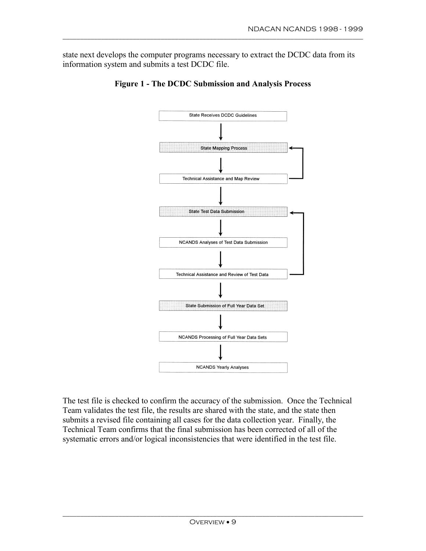state next develops the computer programs necessary to extract the DCDC data from its information system and submits a test DCDC file.

\_\_\_\_\_\_\_\_\_\_\_\_\_\_\_\_\_\_\_\_\_\_\_\_\_\_\_\_\_\_\_\_\_\_\_\_\_\_\_\_\_\_\_\_\_\_\_\_\_\_\_\_\_\_\_\_\_\_\_\_\_\_\_\_\_\_\_\_\_\_\_\_\_\_\_\_\_\_\_\_\_\_\_\_\_\_





The test file is checked to confirm the accuracy of the submission. Once the Technical Team validates the test file, the results are shared with the state, and the state then submits a revised file containing all cases for the data collection year. Finally, the Technical Team confirms that the final submission has been corrected of all of the systematic errors and/or logical inconsistencies that were identified in the test file.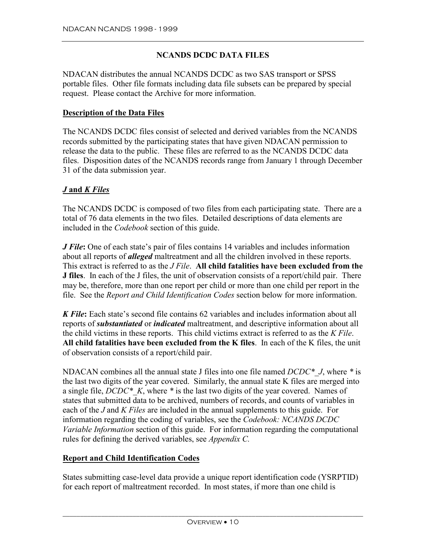#### **NCANDS DCDC DATA FILES**

<span id="page-11-0"></span>NDACAN distributes the annual NCANDS DCDC as two SAS transport or SPSS portable files. Other file formats including data file subsets can be prepared by special request. Please contact the Archive for more information.

#### **Description of the Data Files**

The NCANDS DCDC files consist of selected and derived variables from the NCANDS records submitted by the participating states that have given NDACAN permission to release the data to the public. These files are referred to as the NCANDS DCDC data files. Disposition dates of the NCANDS records range from January 1 through December 31 of the data submission year.

#### *J* **and** *K Files*

The NCANDS DCDC is composed of two files from each participating state. There are a total of 76 data elements in the two files. Detailed descriptions of data elements are included in the *Codebook* section of this guide.

*J File***:** One of each state's pair of files contains 14 variables and includes information about all reports of *alleged* maltreatment and all the children involved in these reports. This extract is referred to as the *J File*. **All child fatalities have been excluded from the J files**. In each of the J files, the unit of observation consists of a report/child pair. There may be, therefore, more than one report per child or more than one child per report in the file. See the *Report and Child Identification Codes* section below for more information.

*K File***:** Each state's second file contains 62 variables and includes information about all reports of *substantiated* or *indicated* maltreatment, and descriptive information about all the child victims in these reports. This child victims extract is referred to as the *K File*. **All child fatalities have been excluded from the K files**. In each of the K files, the unit of observation consists of a report/child pair.

NDACAN combines all the annual state J files into one file named *DCDC\*\_J*, where *\** is the last two digits of the year covered. Similarly, the annual state K files are merged into a single file, *DCDC\*\_K*, where *\** is the last two digits of the year covered. Names of states that submitted data to be archived, numbers of records, and counts of variables in each of the *J* and *K Files* are included in the annual supplements to this guide. For information regarding the coding of variables, see the *Codebook: NCANDS DCDC Variable Information* section of this guide. For information regarding the computational rules for defining the derived variables, see *Appendix C.* 

#### **Report and Child Identification Codes**

States submitting case-level data provide a unique report identification code (YSRPTID) for each report of maltreatment recorded. In most states, if more than one child is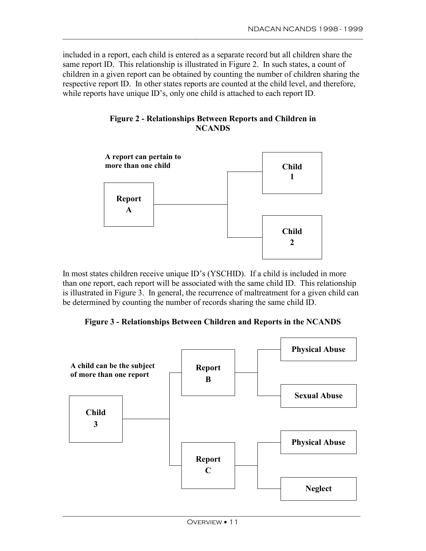included in a report, each child is entered as a separate record but all children share the same report ID. This relationship is illustrated in Figure 2. In such states, a count of children in a given report can be obtained by counting the number of children sharing the respective report ID. In other states reports are counted at the child level, and therefore, while reports have unique ID's, only one child is attached to each report ID.

\_\_\_\_\_\_\_\_\_\_\_\_\_\_\_\_\_\_\_\_\_\_\_\_\_\_\_\_\_\_\_\_\_\_\_\_\_\_\_\_\_\_\_\_\_\_\_\_\_\_\_\_\_\_\_\_\_\_\_\_\_\_\_\_\_\_\_\_\_\_\_\_\_\_\_\_\_\_\_\_\_\_\_\_\_\_





In most states children receive unique ID's (YSCHID). If a child is included in more than one report, each report will be associated with the same child ID. This relationship is illustrated in Figure 3. In general, the recurrence of maltreatment for a given child can be determined by counting the number of records sharing the same child ID.

**Figure 3 - Relationships Between Children and Reports in the NCANDS** 

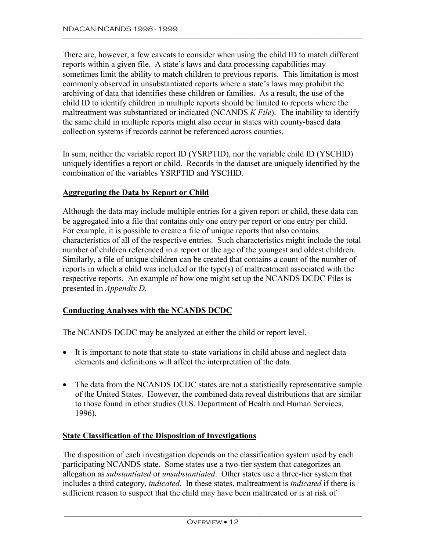<span id="page-13-0"></span>There are, however, a few caveats to consider when using the child ID to match different reports within a given file. A state's laws and data processing capabilities may sometimes limit the ability to match children to previous reports. This limitation is most commonly observed in unsubstantiated reports where a state's laws may prohibit the archiving of data that identifies these children or families. As a result, the use of the child ID to identify children in multiple reports should be limited to reports where the maltreatment was substantiated or indicated (NCANDS *K File*). The inability to identify the same child in multiple reports might also occur in states with county-based data collection systems if records cannot be referenced across counties.

In sum, neither the variable report ID (YSRPTID), nor the variable child ID (YSCHID) uniquely identifies a report or child. Records in the dataset are uniquely identified by the combination of the variables YSRPTID and YSCHID.

#### **Aggregating the Data by Report or Child**

Although the data may include multiple entries for a given report or child, these data can be aggregated into a file that contains only one entry per report or one entry per child. For example, it is possible to create a file of unique reports that also contains characteristics of all of the respective entries. Such characteristics might include the total number of children referenced in a report or the age of the youngest and oldest children. Similarly, a file of unique children can be created that contains a count of the number of reports in which a child was included or the type(s) of maltreatment associated with the respective reports. An example of how one might set up the NCANDS DCDC Files is presented in *Appendix D*.

#### **Conducting Analyses with the NCANDS DCDC**

The NCANDS DCDC may be analyzed at either the child or report level.

- It is important to note that state-to-state variations in child abuse and neglect data elements and definitions will affect the interpretation of the data.
- The data from the NCANDS DCDC states are not a statistically representative sample of the United States. However, the combined data reveal distributions that are similar to those found in other studies (U.S. Department of Health and Human Services, 1996).

#### **State Classification of the Disposition of Investigations**

The disposition of each investigation depends on the classification system used by each participating NCANDS state. Some states use a two-tier system that categorizes an allegation as *substantiated* or *unsubstantiated*. Other states use a three-tier system that includes a third category, *indicated*. In these states, maltreatment is *indicated* if there is sufficient reason to suspect that the child may have been maltreated or is at risk of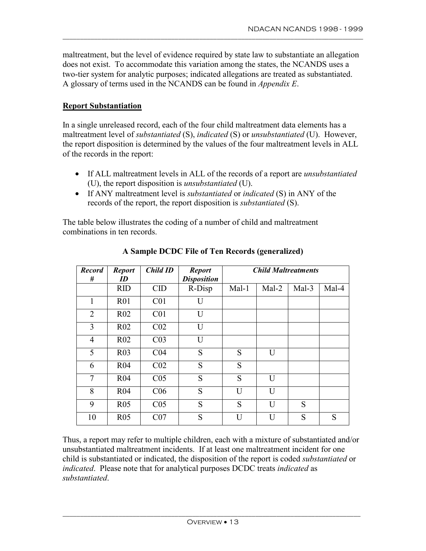maltreatment, but the level of evidence required by state law to substantiate an allegation does not exist. To accommodate this variation among the states, the NCANDS uses a two-tier system for analytic purposes; indicated allegations are treated as substantiated. A glossary of terms used in the NCANDS can be found in *Appendix E*.

<span id="page-14-0"></span>\_\_\_\_\_\_\_\_\_\_\_\_\_\_\_\_\_\_\_\_\_\_\_\_\_\_\_\_\_\_\_\_\_\_\_\_\_\_\_\_\_\_\_\_\_\_\_\_\_\_\_\_\_\_\_\_\_\_\_\_\_\_\_\_\_\_\_\_\_\_\_\_\_\_\_\_\_\_\_\_\_\_\_\_\_\_

#### **Report Substantiation**

In a single unreleased record, each of the four child maltreatment data elements has a maltreatment level of *substantiated* (S), *indicated* (S) or *unsubstantiated* (U). However, the report disposition is determined by the values of the four maltreatment levels in ALL of the records in the report:

- • If ALL maltreatment levels in ALL of the records of a report are *unsubstantiated*  (U), the report disposition is *unsubstantiated* (U).
- • If ANY maltreatment level is *substantiated* or *indicated* (S) in ANY of the records of the report, the report disposition is *substantiated* (S).

The table below illustrates the coding of a number of child and maltreatment combinations in ten records.

| <b>Record</b>  | <b>Report</b>   | <b>Child ID</b>     | <b>Report</b>      | <b>Child Maltreatments</b> |                |       |       |
|----------------|-----------------|---------------------|--------------------|----------------------------|----------------|-------|-------|
| #              | ID              |                     | <b>Disposition</b> |                            |                |       |       |
|                | <b>RID</b>      | $\overline{\rm CD}$ | R-Disp             | Mal-1                      | $Mal-2$        | Mal-3 | Mal-4 |
| 1              | R <sub>01</sub> | C <sub>01</sub>     | U                  |                            |                |       |       |
| $\overline{2}$ | R <sub>02</sub> | C <sub>01</sub>     | U                  |                            |                |       |       |
| 3              | R <sub>02</sub> | CO <sub>2</sub>     | U                  |                            |                |       |       |
| 4              | R <sub>02</sub> | CO <sub>3</sub>     | U                  |                            |                |       |       |
| 5              | R <sub>03</sub> | CO <sub>4</sub>     | S                  | S                          | U              |       |       |
| 6              | R <sub>04</sub> | CO <sub>2</sub>     | S                  | S                          |                |       |       |
| 7              | R <sub>04</sub> | C <sub>05</sub>     | S                  | S                          | $\overline{U}$ |       |       |
| 8              | R <sub>04</sub> | C <sub>06</sub>     | S                  | U                          | $\overline{U}$ |       |       |
| 9              | R <sub>05</sub> | C <sub>05</sub>     | S                  | S                          | $\overline{U}$ | S     |       |
| 10             | R <sub>05</sub> | CO <sub>7</sub>     | S                  | $\overline{U}$             | $\overline{U}$ | S     | S     |

**A Sample DCDC File of Ten Records (generalized)** 

Thus, a report may refer to multiple children, each with a mixture of substantiated and/or unsubstantiated maltreatment incidents. If at least one maltreatment incident for one child is substantiated or indicated, the disposition of the report is coded *substantiated* or *indicated*. Please note that for analytical purposes DCDC treats *indicated* as *substantiated*.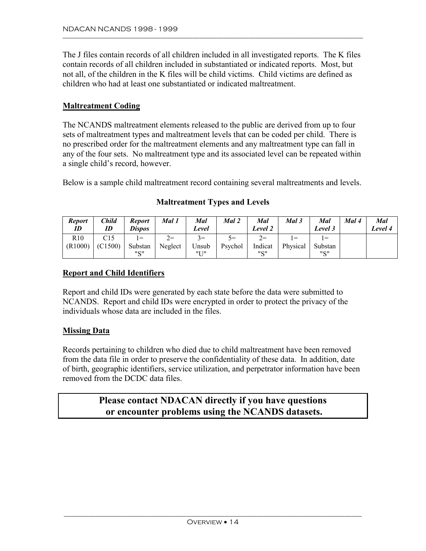<span id="page-15-0"></span>The J files contain records of all children included in all investigated reports. The K files contain records of all children included in substantiated or indicated reports. Most, but not all, of the children in the K files will be child victims. Child victims are defined as children who had at least one substantiated or indicated maltreatment.

#### **Maltreatment Coding**

The NCANDS maltreatment elements released to the public are derived from up to four sets of maltreatment types and maltreatment levels that can be coded per child. There is no prescribed order for the maltreatment elements and any maltreatment type can fall in any of the four sets. No maltreatment type and its associated level can be repeated within a single child's record, however.

Below is a sample child maltreatment record containing several maltreatments and levels.

| <b>Report</b><br>ID | Child<br>ID | <b>Report</b><br><b>Dispos</b> | Mal 1   | Mal<br>Level | Mal 2   | Mal<br>Level 2 | Mal 3    | Mal<br>Level 3 | Mal 4 | Mal<br>Level 4 |
|---------------------|-------------|--------------------------------|---------|--------------|---------|----------------|----------|----------------|-------|----------------|
| R10                 | C15         | $=$                            | $2=$    | $3=$         | $5 =$   | $2=$           | $=$      | $=$            |       |                |
| (R1000)             | (C1500)     | Substan                        | Neglect | Unsub        | Psychol | Indicat        | Physical | Substan        |       |                |
|                     |             | "2"                            |         | <b>"I T"</b> |         | "C"            |          | <b>"C"</b>     |       |                |

#### **Maltreatment Types and Levels**

#### **Report and Child Identifiers**

Report and child IDs were generated by each state before the data were submitted to NCANDS. Report and child IDs were encrypted in order to protect the privacy of the individuals whose data are included in the files.

#### **Missing Data**

Records pertaining to children who died due to child maltreatment have been removed from the data file in order to preserve the confidentiality of these data. In addition, date of birth, geographic identifiers, service utilization, and perpetrator information have been removed from the DCDC data files.

# **Please contact NDACAN directly if you have questions or encounter problems using the NCANDS datasets.**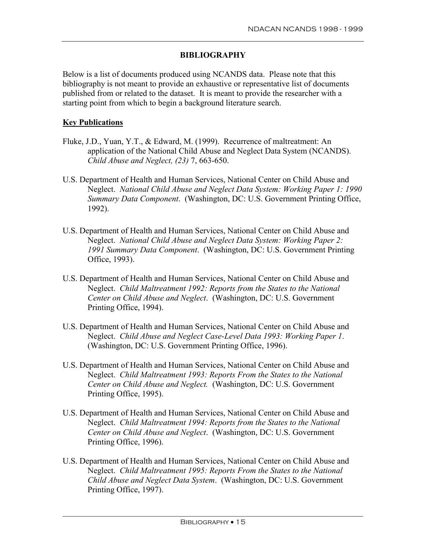#### **BIBLIOGRAPHY**

<span id="page-16-0"></span>Below is a list of documents produced using NCANDS data. Please note that this bibliography is not meant to provide an exhaustive or representative list of documents published from or related to the dataset. It is meant to provide the researcher with a starting point from which to begin a background literature search.

#### **Key Publications**

- Fluke, J.D., Yuan, Y.T., & Edward, M. (1999). Recurrence of maltreatment: An application of the National Child Abuse and Neglect Data System (NCANDS). *Child Abuse and Neglect, (23)* 7, 663-650.
- U.S. Department of Health and Human Services, National Center on Child Abuse and Neglect. *National Child Abuse and Neglect Data System: Working Paper 1: 1990 Summary Data Component*. (Washington, DC: U.S. Government Printing Office, 1992).
- U.S. Department of Health and Human Services, National Center on Child Abuse and Neglect. *National Child Abuse and Neglect Data System: Working Paper 2: 1991 Summary Data Component*. (Washington, DC: U.S. Government Printing Office, 1993).
- U.S. Department of Health and Human Services, National Center on Child Abuse and Neglect. *Child Maltreatment 1992: Reports from the States to the National Center on Child Abuse and Neglect*. (Washington, DC: U.S. Government Printing Office, 1994).
- U.S. Department of Health and Human Services, National Center on Child Abuse and Neglect. *Child Abuse and Neglect Case-Level Data 1993: Working Paper 1*. (Washington, DC: U.S. Government Printing Office, 1996).
- U.S. Department of Health and Human Services, National Center on Child Abuse and Neglect. *Child Maltreatment 1993: Reports From the States to the National Center on Child Abuse and Neglect.* (Washington, DC: U.S. Government Printing Office, 1995).
- U.S. Department of Health and Human Services, National Center on Child Abuse and Neglect. *Child Maltreatment 1994: Reports from the States to the National Center on Child Abuse and Neglect*. (Washington, DC: U.S. Government Printing Office, 1996).
- U.S. Department of Health and Human Services, National Center on Child Abuse and Neglect. *Child Maltreatment 1995: Reports From the States to the National Child Abuse and Neglect Data System*. (Washington, DC: U.S. Government Printing Office, 1997).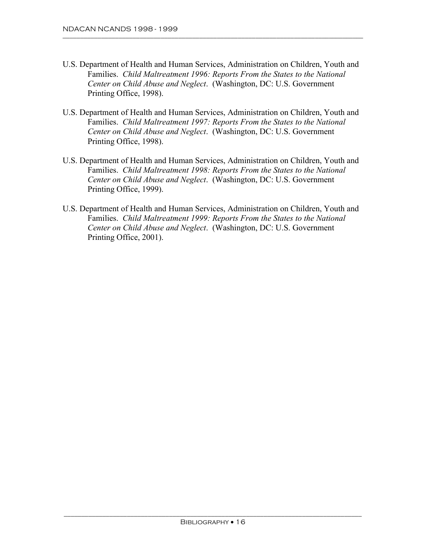- U.S. Department of Health and Human Services, Administration on Children, Youth and Families. *Child Maltreatment 1996: Reports From the States to the National Center on Child Abuse and Neglect*. (Washington, DC: U.S. Government Printing Office, 1998).
- U.S. Department of Health and Human Services, Administration on Children, Youth and Families. *Child Maltreatment 1997: Reports From the States to the National Center on Child Abuse and Neglect*. (Washington, DC: U.S. Government Printing Office, 1998).
- U.S. Department of Health and Human Services, Administration on Children, Youth and Families. *Child Maltreatment 1998: Reports From the States to the National Center on Child Abuse and Neglect*. (Washington, DC: U.S. Government Printing Office, 1999).
- U.S. Department of Health and Human Services, Administration on Children, Youth and Families. *Child Maltreatment 1999: Reports From the States to the National Center on Child Abuse and Neglect*. (Washington, DC: U.S. Government Printing Office, 2001).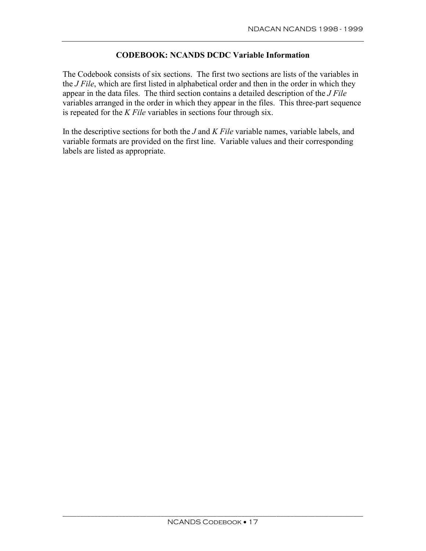#### **CODEBOOK: NCANDS DCDC Variable Information**

<span id="page-18-0"></span>The Codebook consists of six sections. The first two sections are lists of the variables in the *J File*, which are first listed in alphabetical order and then in the order in which they appear in the data files. The third section contains a detailed description of the *J File*  variables arranged in the order in which they appear in the files. This three-part sequence is repeated for the *K File* variables in sections four through six.

In the descriptive sections for both the *J* and *K File* variable names, variable labels, and variable formats are provided on the first line. Variable values and their corresponding labels are listed as appropriate.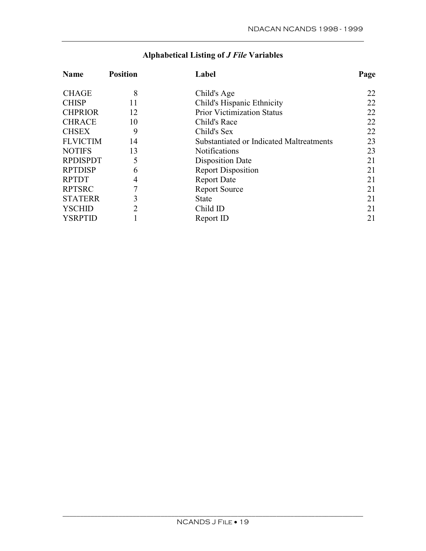| <b>Name</b>     | <b>Position</b> | Label                                    | Page |
|-----------------|-----------------|------------------------------------------|------|
| <b>CHAGE</b>    | 8               | Child's Age                              | 22   |
| <b>CHISP</b>    | 11              | Child's Hispanic Ethnicity               | 22   |
| <b>CHPRIOR</b>  | 12              | <b>Prior Victimization Status</b>        | 22   |
| <b>CHRACE</b>   | 10              | Child's Race                             | 22   |
| <b>CHSEX</b>    | 9               | Child's Sex                              | 22   |
| <b>FLVICTIM</b> | 14              | Substantiated or Indicated Maltreatments | 23   |
| <b>NOTIFS</b>   | 13              | <b>Notifications</b>                     | 23   |
| <b>RPDISPDT</b> | 5               | Disposition Date                         | 21   |
| <b>RPTDISP</b>  | 6               | <b>Report Disposition</b>                | 21   |
| <b>RPTDT</b>    | 4               | <b>Report Date</b>                       | 21   |
| <b>RPTSRC</b>   |                 | <b>Report Source</b>                     | 21   |
| <b>STATERR</b>  | 3               | <b>State</b>                             | 21   |
| <b>YSCHID</b>   | $\overline{2}$  | Child ID                                 | 21   |
| <b>YSRPTID</b>  |                 | Report ID                                | 21   |

# **Alphabetical Listing of** *J File* **Variables**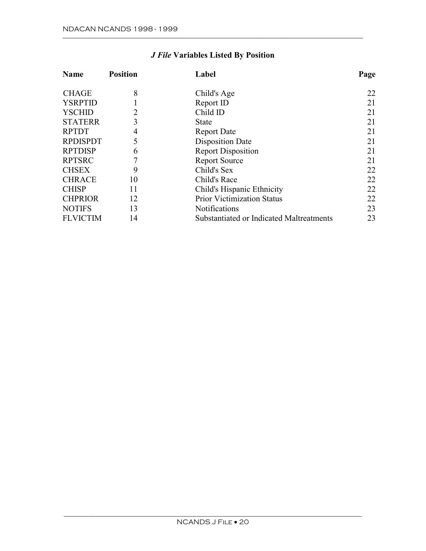| <b>Name</b>     | <b>Position</b> | Label                                    | Page |
|-----------------|-----------------|------------------------------------------|------|
| <b>CHAGE</b>    | 8               | Child's Age                              | 22   |
| <b>YSRPTID</b>  |                 | Report ID                                | 21   |
| <b>YSCHID</b>   | 2               | Child ID                                 | 21   |
| <b>STATERR</b>  | 3               | State                                    | 21   |
| <b>RPTDT</b>    | 4               | <b>Report Date</b>                       | 21   |
| <b>RPDISPDT</b> | 5               | <b>Disposition Date</b>                  | 21   |
| <b>RPTDISP</b>  | 6               | <b>Report Disposition</b>                | 21   |
| <b>RPTSRC</b>   |                 | <b>Report Source</b>                     | 21   |
| <b>CHSEX</b>    | 9               | Child's Sex                              | 22   |
| <b>CHRACE</b>   | 10              | Child's Race                             | 22   |
| <b>CHISP</b>    | 11              | Child's Hispanic Ethnicity               | 22   |
| <b>CHPRIOR</b>  | 12              | <b>Prior Victimization Status</b>        | 22   |
| <b>NOTIFS</b>   | 13              | <b>Notifications</b>                     | 23   |
| <b>FLVICTIM</b> | 14              | Substantiated or Indicated Maltreatments | 23   |

# *J File* **Variables Listed By Position**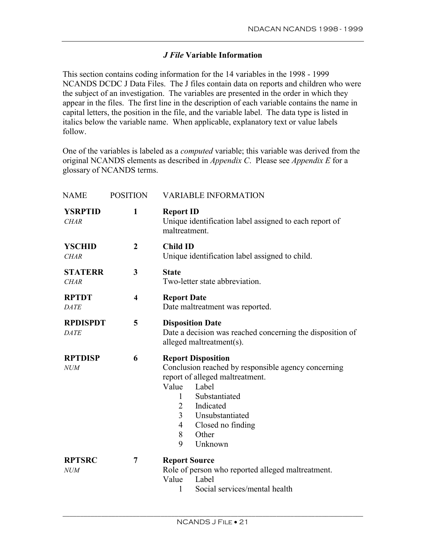### *J File* **Variable Information**

<span id="page-22-0"></span>This section contains coding information for the 14 variables in the 1998 - 1999 NCANDS DCDC J Data Files. The J files contain data on reports and children who were the subject of an investigation. The variables are presented in the order in which they appear in the files. The first line in the description of each variable contains the name in capital letters, the position in the file, and the variable label. The data type is listed in italics below the variable name. When applicable, explanatory text or value labels follow.

One of the variables is labeled as a *computed* variable; this variable was derived from the original NCANDS elements as described in *Appendix C*. Please see *Appendix E* for a glossary of NCANDS terms.

| <b>NAME</b>                    | <b>POSITION</b>         | <b>VARIABLE INFORMATION</b>                                                                                                                                                                                                                                                |
|--------------------------------|-------------------------|----------------------------------------------------------------------------------------------------------------------------------------------------------------------------------------------------------------------------------------------------------------------------|
| <b>YSRPTID</b><br><b>CHAR</b>  | $\mathbf{1}$            | <b>Report ID</b><br>Unique identification label assigned to each report of<br>maltreatment.                                                                                                                                                                                |
| <b>YSCHID</b><br><b>CHAR</b>   | $\boldsymbol{2}$        | <b>Child ID</b><br>Unique identification label assigned to child.                                                                                                                                                                                                          |
| <b>STATERR</b><br><b>CHAR</b>  | 3                       | <b>State</b><br>Two-letter state abbreviation.                                                                                                                                                                                                                             |
| <b>RPTDT</b><br><b>DATE</b>    | $\overline{\mathbf{4}}$ | <b>Report Date</b><br>Date maltreatment was reported.                                                                                                                                                                                                                      |
| <b>RPDISPDT</b><br><b>DATE</b> | 5                       | <b>Disposition Date</b><br>Date a decision was reached concerning the disposition of<br>alleged maltreatment(s).                                                                                                                                                           |
| <b>RPTDISP</b><br><b>NUM</b>   | 6                       | <b>Report Disposition</b><br>Conclusion reached by responsible agency concerning<br>report of alleged maltreatment.<br>Value<br>Label<br>Substantiated<br>1<br>Indicated<br>$\overline{2}$<br>3<br>Unsubstantiated<br>Closed no finding<br>4<br>8<br>Other<br>9<br>Unknown |
| <b>RPTSRC</b><br><i>NUM</i>    | 7                       | <b>Report Source</b><br>Role of person who reported alleged maltreatment.<br>Value<br>Label<br>Social services/mental health<br>1                                                                                                                                          |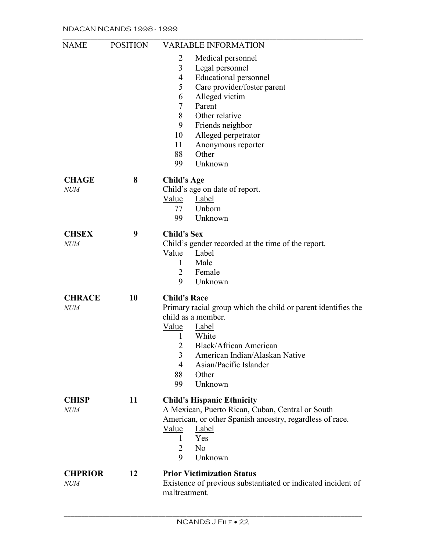| <b>NAME</b>    | <b>POSITION</b> | <b>VARIABLE INFORMATION</b>                                   |
|----------------|-----------------|---------------------------------------------------------------|
|                |                 | 2<br>Medical personnel                                        |
|                |                 | 3<br>Legal personnel                                          |
|                |                 | <b>Educational personnel</b><br>4                             |
|                |                 | Care provider/foster parent<br>5                              |
|                |                 | Alleged victim<br>6                                           |
|                |                 | Parent<br>7                                                   |
|                |                 | 8<br>Other relative                                           |
|                |                 | 9                                                             |
|                |                 | Friends neighbor                                              |
|                |                 | Alleged perpetrator<br>10                                     |
|                |                 | 11<br>Anonymous reporter                                      |
|                |                 | Other<br>88                                                   |
|                |                 | 99<br>Unknown                                                 |
| <b>CHAGE</b>   | 8               | <b>Child's Age</b>                                            |
| <b>NUM</b>     |                 | Child's age on date of report.                                |
|                |                 | Value<br><b>Label</b>                                         |
|                |                 | Unborn<br>77                                                  |
|                |                 | Unknown<br>99                                                 |
| <b>CHSEX</b>   | 9               | <b>Child's Sex</b>                                            |
| <b>NUM</b>     |                 | Child's gender recorded at the time of the report.            |
|                |                 | Value<br>Label                                                |
|                |                 | Male<br>$\mathbf{1}$                                          |
|                |                 | Female<br>2                                                   |
|                |                 | 9<br>Unknown                                                  |
| <b>CHRACE</b>  | 10              | <b>Child's Race</b>                                           |
| <b>NUM</b>     |                 | Primary racial group which the child or parent identifies the |
|                |                 | child as a member.                                            |
|                |                 | Value<br>Label                                                |
|                |                 | White<br>1                                                    |
|                |                 | $\overline{2}$<br><b>Black/African American</b>               |
|                |                 | American Indian/Alaskan Native<br>3                           |
|                |                 | Asian/Pacific Islander<br>$\overline{4}$                      |
|                |                 | 88<br>Other                                                   |
|                |                 | Unknown<br>99                                                 |
|                |                 |                                                               |
| <b>CHISP</b>   | 11              | <b>Child's Hispanic Ethnicity</b>                             |
| <b>NUM</b>     |                 | A Mexican, Puerto Rican, Cuban, Central or South              |
|                |                 | American, or other Spanish ancestry, regardless of race.      |
|                |                 | Value<br>Label                                                |
|                |                 | Yes<br>1                                                      |
|                |                 | 2<br>N <sub>0</sub>                                           |
|                |                 | 9<br>Unknown                                                  |
| <b>CHPRIOR</b> | 12              | <b>Prior Victimization Status</b>                             |
| <b>NUM</b>     |                 | Existence of previous substantiated or indicated incident of  |
|                |                 | maltreatment.                                                 |
|                |                 |                                                               |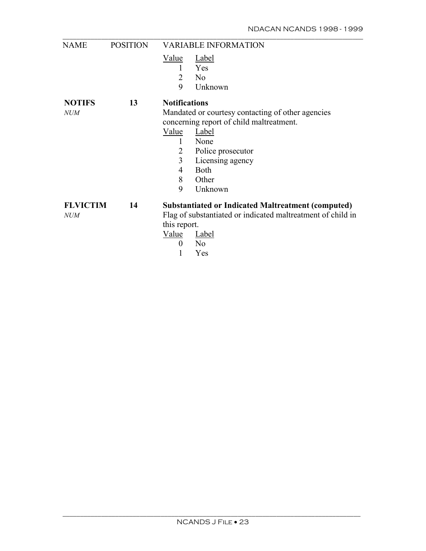| <b>NAME</b>     | <b>POSITION</b> |                      | <b>VARIABLE INFORMATION</b>                                 |
|-----------------|-----------------|----------------------|-------------------------------------------------------------|
|                 |                 | <u>Value</u>         | <b>Label</b>                                                |
|                 |                 | 1                    | Yes                                                         |
|                 |                 | 2                    | N <sub>0</sub>                                              |
|                 |                 | 9                    | Unknown                                                     |
| <b>NOTIFS</b>   | 13              | <b>Notifications</b> |                                                             |
| <b>NUM</b>      |                 |                      | Mandated or courtesy contacting of other agencies           |
|                 |                 |                      | concerning report of child maltreatment.                    |
|                 |                 | Value                | Label                                                       |
|                 |                 | 1                    | None                                                        |
|                 |                 | 2                    | Police prosecutor                                           |
|                 |                 | $\overline{3}$       | Licensing agency                                            |
|                 |                 | $\overline{4}$       | <b>Both</b>                                                 |
|                 |                 | 8                    | Other                                                       |
|                 |                 | 9                    | Unknown                                                     |
| <b>FLVICTIM</b> | 14              |                      | <b>Substantiated or Indicated Maltreatment (computed)</b>   |
| NUM             |                 |                      | Flag of substantiated or indicated maltreatment of child in |
|                 |                 | this report.         |                                                             |
|                 |                 | Value                | Label                                                       |
|                 |                 | $\theta$             | N <sub>0</sub>                                              |
|                 |                 |                      | Yes                                                         |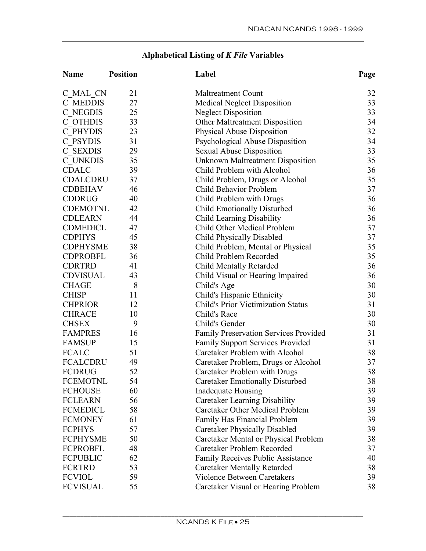# **Alphabetical Listing of** *K File* **Variables**

| <b>Name</b>     | <b>Position</b> | Label                                        | Page |
|-----------------|-----------------|----------------------------------------------|------|
| C MAL CN        | 21              | <b>Maltreatment Count</b>                    | 32   |
| C MEDDIS        | 27              | <b>Medical Neglect Disposition</b>           | 33   |
| C NEGDIS        | 25              | <b>Neglect Disposition</b>                   | 33   |
| C OTHDIS        | 33              | Other Maltreatment Disposition               | 34   |
| C PHYDIS        | 23              | Physical Abuse Disposition                   | 32   |
| C PSYDIS        | 31              | Psychological Abuse Disposition              | 34   |
| C SEXDIS        | 29              | Sexual Abuse Disposition                     | 33   |
| C UNKDIS        | 35              | <b>Unknown Maltreatment Disposition</b>      | 35   |
| <b>CDALC</b>    | 39              | Child Problem with Alcohol                   | 36   |
| <b>CDALCDRU</b> | 37              | Child Problem, Drugs or Alcohol              | 35   |
| <b>CDBEHAV</b>  | 46              | Child Behavior Problem                       | 37   |
| <b>CDDRUG</b>   | 40              | Child Problem with Drugs                     | 36   |
| <b>CDEMOTNL</b> | 42              | Child Emotionally Disturbed                  | 36   |
| <b>CDLEARN</b>  | 44              | Child Learning Disability                    | 36   |
| <b>CDMEDICL</b> | 47              | Child Other Medical Problem                  | 37   |
| <b>CDPHYS</b>   | 45              | <b>Child Physically Disabled</b>             | 37   |
| <b>CDPHYSME</b> | 38              | Child Problem, Mental or Physical            | 35   |
| <b>CDPROBFL</b> | 36              | Child Problem Recorded                       | 35   |
| <b>CDRTRD</b>   | 41              | <b>Child Mentally Retarded</b>               | 36   |
| <b>CDVISUAL</b> | 43              | Child Visual or Hearing Impaired             | 36   |
| <b>CHAGE</b>    | 8               | Child's Age                                  | 30   |
| <b>CHISP</b>    | 11              | Child's Hispanic Ethnicity                   | 30   |
| <b>CHPRIOR</b>  | 12              | <b>Child's Prior Victimization Status</b>    | 31   |
| <b>CHRACE</b>   | 10              | Child's Race                                 | 30   |
| <b>CHSEX</b>    | 9               | Child's Gender                               | 30   |
| <b>FAMPRES</b>  | 16              | <b>Family Preservation Services Provided</b> | 31   |
| <b>FAMSUP</b>   | 15              | <b>Family Support Services Provided</b>      | 31   |
| <b>FCALC</b>    | 51              | Caretaker Problem with Alcohol               | 38   |
| <b>FCALCDRU</b> | 49              | Caretaker Problem, Drugs or Alcohol          | 37   |
| <b>FCDRUG</b>   | 52              | Caretaker Problem with Drugs                 | 38   |
| <b>FCEMOTNL</b> | 54              | Caretaker Emotionally Disturbed              | 38   |
| <b>FCHOUSE</b>  | 60              | Inadequate Housing                           | 39   |
| <b>FCLEARN</b>  | 56              | Caretaker Learning Disability                | 39   |
| <b>FCMEDICL</b> | 58              | <b>Caretaker Other Medical Problem</b>       | 39   |
| <b>FCMONEY</b>  | 61              | Family Has Financial Problem                 | 39   |
| <b>FCPHYS</b>   | 57              | <b>Caretaker Physically Disabled</b>         | 39   |
| <b>FCPHYSME</b> | 50              | Caretaker Mental or Physical Problem         | 38   |
| <b>FCPROBFL</b> | 48              | Caretaker Problem Recorded                   | 37   |
| <b>FCPUBLIC</b> | 62              | <b>Family Receives Public Assistance</b>     | 40   |
| <b>FCRTRD</b>   | 53              | <b>Caretaker Mentally Retarded</b>           | 38   |
| <b>FCVIOL</b>   | 59              | <b>Violence Between Caretakers</b>           | 39   |
| <b>FCVISUAL</b> | 55              | Caretaker Visual or Hearing Problem          | 38   |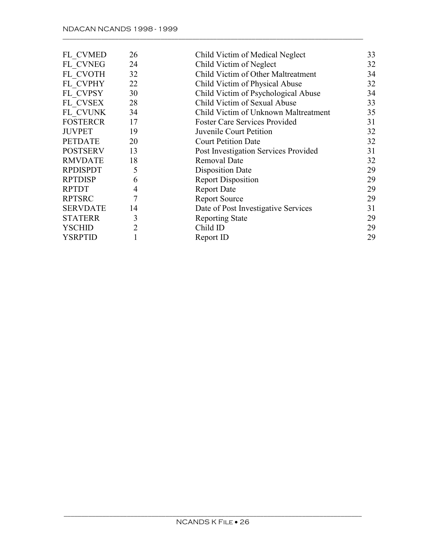| FL CVMED        | 26 | Child Victim of Medical Neglect      | 33 |
|-----------------|----|--------------------------------------|----|
| FL CVNEG        | 24 | Child Victim of Neglect              | 32 |
| FL CVOTH        | 32 | Child Victim of Other Maltreatment   | 34 |
| FL CVPHY        | 22 | Child Victim of Physical Abuse       | 32 |
| FL CVPSY        | 30 | Child Victim of Psychological Abuse  | 34 |
| FL CVSEX        | 28 | Child Victim of Sexual Abuse         | 33 |
| FL CVUNK        | 34 | Child Victim of Unknown Maltreatment | 35 |
| <b>FOSTERCR</b> | 17 | <b>Foster Care Services Provided</b> | 31 |
| <b>JUVPET</b>   | 19 | Juvenile Court Petition              | 32 |
| <b>PETDATE</b>  | 20 | <b>Court Petition Date</b>           | 32 |
| <b>POSTSERV</b> | 13 | Post Investigation Services Provided | 31 |
| <b>RMVDATE</b>  | 18 | Removal Date                         | 32 |
| <b>RPDISPDT</b> | 5  | <b>Disposition Date</b>              | 29 |
| <b>RPTDISP</b>  | 6  | <b>Report Disposition</b>            | 29 |
| <b>RPTDT</b>    | 4  | <b>Report Date</b>                   | 29 |
| <b>RPTSRC</b>   | 7  | <b>Report Source</b>                 | 29 |
| <b>SERVDATE</b> | 14 | Date of Post Investigative Services  | 31 |
| <b>STATERR</b>  | 3  | <b>Reporting State</b>               | 29 |
| YSCHID          | 2  | Child ID                             | 29 |
| <b>YSRPTID</b>  |    | Report ID                            | 29 |
|                 |    |                                      |    |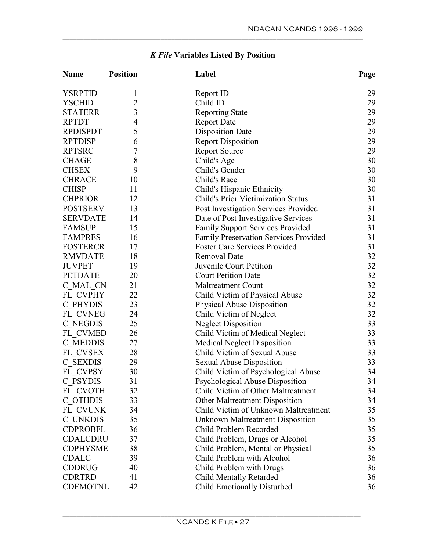| <b>Name</b>     | <b>Position</b> | Label                                        | Page |
|-----------------|-----------------|----------------------------------------------|------|
| <b>YSRPTID</b>  | 1               | Report ID                                    | 29   |
| <b>YSCHID</b>   | $\overline{2}$  | Child ID                                     | 29   |
| <b>STATERR</b>  | $\mathfrak{Z}$  | <b>Reporting State</b>                       | 29   |
| <b>RPTDT</b>    | $\overline{4}$  | <b>Report Date</b>                           | 29   |
| <b>RPDISPDT</b> | 5               | <b>Disposition Date</b>                      | 29   |
| <b>RPTDISP</b>  | 6               | <b>Report Disposition</b>                    | 29   |
| <b>RPTSRC</b>   | 7               | <b>Report Source</b>                         | 29   |
| <b>CHAGE</b>    | 8               | Child's Age                                  | 30   |
| <b>CHSEX</b>    | 9               | Child's Gender                               | 30   |
| <b>CHRACE</b>   | 10              | Child's Race                                 | 30   |
| <b>CHISP</b>    | 11              | Child's Hispanic Ethnicity                   | 30   |
| <b>CHPRIOR</b>  | 12              | <b>Child's Prior Victimization Status</b>    | 31   |
| <b>POSTSERV</b> | 13              | Post Investigation Services Provided         | 31   |
| <b>SERVDATE</b> | 14              | Date of Post Investigative Services          | 31   |
| <b>FAMSUP</b>   | 15              | <b>Family Support Services Provided</b>      | 31   |
| <b>FAMPRES</b>  | 16              | <b>Family Preservation Services Provided</b> | 31   |
| <b>FOSTERCR</b> | 17              | <b>Foster Care Services Provided</b>         | 31   |
| <b>RMVDATE</b>  | 18              | <b>Removal Date</b>                          | 32   |
| <b>JUVPET</b>   | 19              | Juvenile Court Petition                      | 32   |
| <b>PETDATE</b>  | 20              | <b>Court Petition Date</b>                   | 32   |
| C MAL CN        | 21              | <b>Maltreatment Count</b>                    | 32   |
| FL CVPHY        | 22              | Child Victim of Physical Abuse               | 32   |
| C PHYDIS        | 23              | Physical Abuse Disposition                   | 32   |
| FL CVNEG        | 24              | Child Victim of Neglect                      | 32   |
| C NEGDIS        | 25              | <b>Neglect Disposition</b>                   | 33   |
| FL CVMED        | 26              | Child Victim of Medical Neglect              | 33   |
| C MEDDIS        | 27              | <b>Medical Neglect Disposition</b>           | 33   |
| FL CVSEX        | 28              | Child Victim of Sexual Abuse                 | 33   |
| C SEXDIS        | 29              | <b>Sexual Abuse Disposition</b>              | 33   |
| FL CVPSY        | 30              | Child Victim of Psychological Abuse          | 34   |
| C PSYDIS        | 31              | Psychological Abuse Disposition              | 34   |
| FL CVOTH        | 32              | Child Victim of Other Maltreatment           | 34   |
| C OTHDIS        | 33              | <b>Other Maltreatment Disposition</b>        | 34   |
| FL CVUNK        | 34              | Child Victim of Unknown Maltreatment         | 35   |
| C UNKDIS        | 35              | <b>Unknown Maltreatment Disposition</b>      | 35   |
| <b>CDPROBFL</b> | 36              | Child Problem Recorded                       | 35   |
| CDALCDRU        | 37              | Child Problem, Drugs or Alcohol              | 35   |
| <b>CDPHYSME</b> | 38              | Child Problem, Mental or Physical            | 35   |
| <b>CDALC</b>    | 39              | Child Problem with Alcohol                   | 36   |
| <b>CDDRUG</b>   | 40              | Child Problem with Drugs                     | 36   |
| <b>CDRTRD</b>   | 41              | <b>Child Mentally Retarded</b>               | 36   |
| <b>CDEMOTNL</b> | 42              | Child Emotionally Disturbed                  | 36   |

# *K File* **Variables Listed By Position**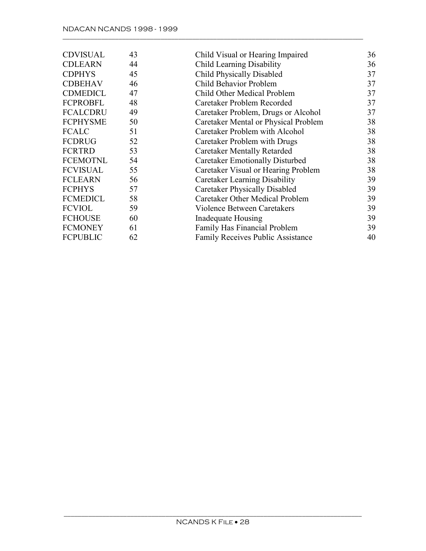| <b>CDVISUAL</b> | 43 | Child Visual or Hearing Impaired         | 36 |
|-----------------|----|------------------------------------------|----|
| <b>CDLEARN</b>  | 44 | <b>Child Learning Disability</b>         | 36 |
| <b>CDPHYS</b>   | 45 | <b>Child Physically Disabled</b>         | 37 |
| <b>CDBEHAV</b>  | 46 | Child Behavior Problem                   | 37 |
| <b>CDMEDICL</b> | 47 | Child Other Medical Problem              | 37 |
| <b>FCPROBFL</b> | 48 | Caretaker Problem Recorded               | 37 |
| <b>FCALCDRU</b> | 49 | Caretaker Problem, Drugs or Alcohol      | 37 |
| <b>FCPHYSME</b> | 50 | Caretaker Mental or Physical Problem     | 38 |
| <b>FCALC</b>    | 51 | Caretaker Problem with Alcohol           | 38 |
| <b>FCDRUG</b>   | 52 | Caretaker Problem with Drugs             | 38 |
| <b>FCRTRD</b>   | 53 | <b>Caretaker Mentally Retarded</b>       | 38 |
| <b>FCEMOTNL</b> | 54 | <b>Caretaker Emotionally Disturbed</b>   | 38 |
| <b>FCVISUAL</b> | 55 | Caretaker Visual or Hearing Problem      | 38 |
| <b>FCLEARN</b>  | 56 | Caretaker Learning Disability            | 39 |
| <b>FCPHYS</b>   | 57 | <b>Caretaker Physically Disabled</b>     | 39 |
| <b>FCMEDICL</b> | 58 | Caretaker Other Medical Problem          | 39 |
| <b>FCVIOL</b>   | 59 | <b>Violence Between Caretakers</b>       | 39 |
| <b>FCHOUSE</b>  | 60 | Inadequate Housing                       | 39 |
| <b>FCMONEY</b>  | 61 | Family Has Financial Problem             | 39 |
| <b>FCPUBLIC</b> | 62 | <b>Family Receives Public Assistance</b> | 40 |
|                 |    |                                          |    |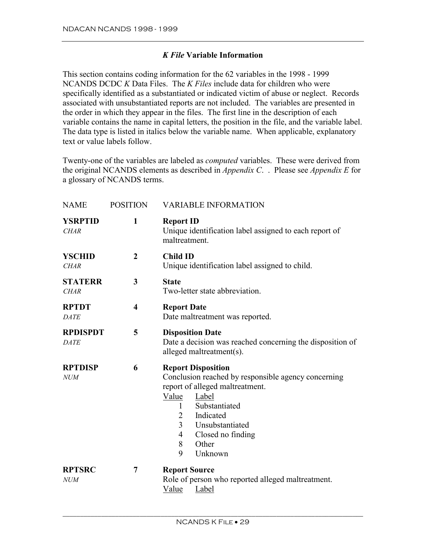#### *K File* **Variable Information**

<span id="page-30-0"></span>This section contains coding information for the 62 variables in the 1998 - 1999 NCANDS DCDC *K* Data Files. The *K Files* include data for children who were specifically identified as a substantiated or indicated victim of abuse or neglect. Records associated with unsubstantiated reports are not included. The variables are presented in the order in which they appear in the files. The first line in the description of each variable contains the name in capital letters, the position in the file, and the variable label. The data type is listed in italics below the variable name. When applicable, explanatory text or value labels follow.

Twenty-one of the variables are labeled as *computed* variables. These were derived from the original NCANDS elements as described in *Appendix C*. . Please see *Appendix E* for a glossary of NCANDS terms.

| <b>NAME</b>                    | <b>POSITION</b>         | <b>VARIABLE INFORMATION</b>                                                                                                                                                                                                                                                |
|--------------------------------|-------------------------|----------------------------------------------------------------------------------------------------------------------------------------------------------------------------------------------------------------------------------------------------------------------------|
| <b>YSRPTID</b><br><b>CHAR</b>  | $\mathbf{1}$            | <b>Report ID</b><br>Unique identification label assigned to each report of<br>maltreatment.                                                                                                                                                                                |
| <b>YSCHID</b><br><b>CHAR</b>   | $\boldsymbol{2}$        | <b>Child ID</b><br>Unique identification label assigned to child.                                                                                                                                                                                                          |
| <b>STATERR</b><br><b>CHAR</b>  | 3                       | <b>State</b><br>Two-letter state abbreviation.                                                                                                                                                                                                                             |
| <b>RPTDT</b><br><b>DATE</b>    | $\overline{\mathbf{4}}$ | <b>Report Date</b><br>Date maltreatment was reported.                                                                                                                                                                                                                      |
| <b>RPDISPDT</b><br><b>DATE</b> | 5                       | <b>Disposition Date</b><br>Date a decision was reached concerning the disposition of<br>alleged maltreatment(s).                                                                                                                                                           |
| <b>RPTDISP</b><br><b>NUM</b>   | 6                       | <b>Report Disposition</b><br>Conclusion reached by responsible agency concerning<br>report of alleged maltreatment.<br>Value<br>Label<br>Substantiated<br>1<br>Indicated<br>2<br>$\overline{3}$<br>Unsubstantiated<br>Closed no finding<br>4<br>8<br>Other<br>9<br>Unknown |
| <b>RPTSRC</b><br><b>NUM</b>    | 7                       | <b>Report Source</b><br>Role of person who reported alleged maltreatment.<br>Value<br>Label                                                                                                                                                                                |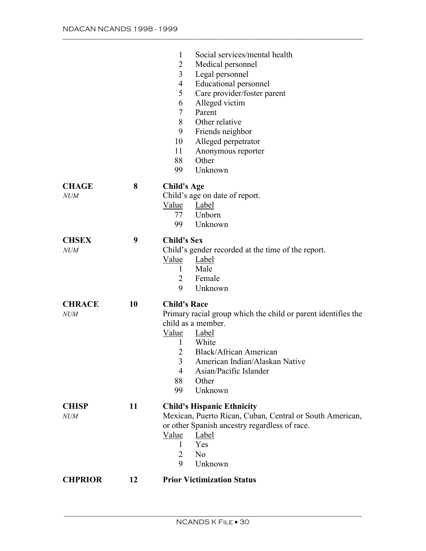|                |    | $\mathbf{1}$<br>Social services/mental health                                                 |
|----------------|----|-----------------------------------------------------------------------------------------------|
|                |    | 2<br>Medical personnel                                                                        |
|                |    | 3<br>Legal personnel                                                                          |
|                |    | <b>Educational personnel</b><br>4                                                             |
|                |    | 5<br>Care provider/foster parent                                                              |
|                |    | Alleged victim<br>6                                                                           |
|                |    | 7<br>Parent                                                                                   |
|                |    | 8<br>Other relative                                                                           |
|                |    | 9<br>Friends neighbor                                                                         |
|                |    | 10<br>Alleged perpetrator                                                                     |
|                |    | 11<br>Anonymous reporter                                                                      |
|                |    | Other<br>88                                                                                   |
|                |    | Unknown<br>99                                                                                 |
|                |    |                                                                                               |
| <b>CHAGE</b>   | 8  | <b>Child's Age</b>                                                                            |
| <i>NUM</i>     |    | Child's age on date of report.                                                                |
|                |    | Value<br>Label                                                                                |
|                |    | Unborn<br>77                                                                                  |
|                |    | 99<br>Unknown                                                                                 |
| <b>CHSEX</b>   | 9  | <b>Child's Sex</b>                                                                            |
| <i>NUM</i>     |    | Child's gender recorded at the time of the report.                                            |
|                |    | Value<br>Label                                                                                |
|                |    | Male<br>$\mathbf{1}$                                                                          |
|                |    |                                                                                               |
|                |    | 2                                                                                             |
|                |    | Female<br>9                                                                                   |
|                |    | Unknown                                                                                       |
| <b>CHRACE</b>  | 10 | <b>Child's Race</b>                                                                           |
| <b>NUM</b>     |    | Primary racial group which the child or parent identifies the                                 |
|                |    | child as a member.                                                                            |
|                |    | Value<br><b>Label</b>                                                                         |
|                |    | $\mathbf{1}$<br>White                                                                         |
|                |    | <b>Black/African American</b><br>2                                                            |
|                |    | 3<br>American Indian/Alaskan Native                                                           |
|                |    | Asian/Pacific Islander<br>4                                                                   |
|                |    | 88<br>Other                                                                                   |
|                |    | Unknown<br>99                                                                                 |
| <b>CHISP</b>   | 11 |                                                                                               |
| <i>NUM</i>     |    | <b>Child's Hispanic Ethnicity</b><br>Mexican, Puerto Rican, Cuban, Central or South American, |
|                |    | or other Spanish ancestry regardless of race.                                                 |
|                |    | Label<br>Value                                                                                |
|                |    | Yes<br>$\mathbf{1}$                                                                           |
|                |    | N <sub>o</sub><br>2                                                                           |
|                |    | 9<br>Unknown                                                                                  |
| <b>CHPRIOR</b> | 12 | <b>Prior Victimization Status</b>                                                             |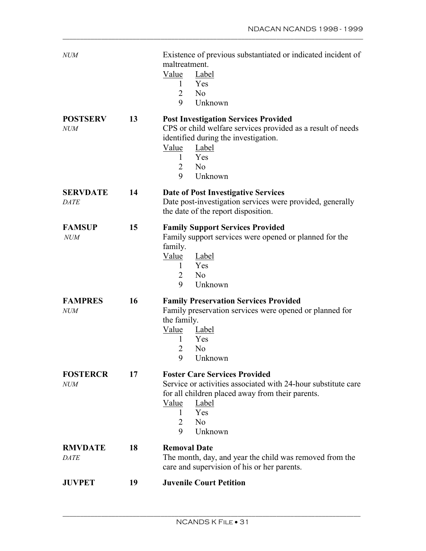| <b>NUM</b>                     |    | Existence of previous substantiated or indicated incident of<br>maltreatment.<br>Value<br>Label<br>1<br>Yes<br>$\overline{2}$<br>N <sub>0</sub><br>9<br>Unknown                                                                                           |
|--------------------------------|----|-----------------------------------------------------------------------------------------------------------------------------------------------------------------------------------------------------------------------------------------------------------|
| <b>POSTSERV</b><br><b>NUM</b>  | 13 | <b>Post Investigation Services Provided</b><br>CPS or child welfare services provided as a result of needs<br>identified during the investigation.<br><u>Value</u><br><b>Label</b><br>Yes<br>$\mathbf{1}$<br>2<br>N <sub>0</sub><br>9<br>Unknown          |
| <b>SERVDATE</b><br><b>DATE</b> | 14 | <b>Date of Post Investigative Services</b><br>Date post-investigation services were provided, generally<br>the date of the report disposition.                                                                                                            |
| <b>FAMSUP</b><br><b>NUM</b>    | 15 | <b>Family Support Services Provided</b><br>Family support services were opened or planned for the<br>family.<br><u>Value</u><br><b>Label</b><br>Yes<br>$\mathbf{1}$<br>2<br>N <sub>0</sub><br>9<br>Unknown                                                |
| <b>FAMPRES</b><br><b>NUM</b>   | 16 | <b>Family Preservation Services Provided</b><br>Family preservation services were opened or planned for<br>the family.<br>Value<br>Label<br>Yes<br>1<br>N <sub>0</sub><br>2<br>9<br>Unknown                                                               |
| <b>FOSTERCR</b><br><i>NUM</i>  | 17 | <b>Foster Care Services Provided</b><br>Service or activities associated with 24-hour substitute care<br>for all children placed away from their parents.<br><u>Value</u><br><b>Label</b><br>Yes<br>1<br>N <sub>0</sub><br>$\overline{2}$<br>9<br>Unknown |
| <b>RMVDATE</b><br>DATE         | 18 | <b>Removal Date</b><br>The month, day, and year the child was removed from the<br>care and supervision of his or her parents.                                                                                                                             |
| <b>JUVPET</b>                  | 19 | <b>Juvenile Court Petition</b>                                                                                                                                                                                                                            |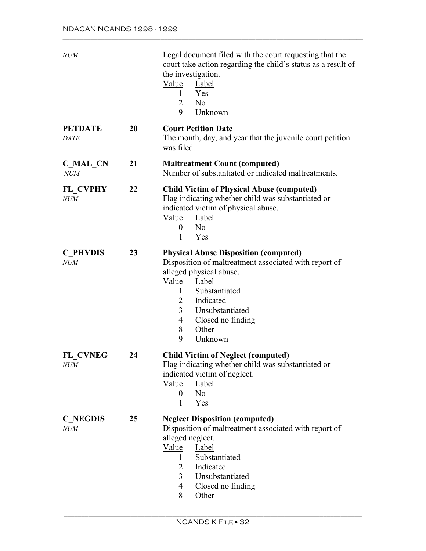| <b>NUM</b>                    |    | Legal document filed with the court requesting that the<br>court take action regarding the child's status as a result of<br>the investigation.<br>Value<br>Label<br>Yes<br>1<br>N <sub>0</sub><br>2<br>9<br>Unknown                                                        |
|-------------------------------|----|----------------------------------------------------------------------------------------------------------------------------------------------------------------------------------------------------------------------------------------------------------------------------|
| <b>PETDATE</b><br><b>DATE</b> | 20 | <b>Court Petition Date</b><br>The month, day, and year that the juvenile court petition<br>was filed.                                                                                                                                                                      |
| C MAL CN<br><b>NUM</b>        | 21 | <b>Maltreatment Count (computed)</b><br>Number of substantiated or indicated maltreatments.                                                                                                                                                                                |
| FL CVPHY<br><b>NUM</b>        | 22 | <b>Child Victim of Physical Abuse (computed)</b><br>Flag indicating whether child was substantiated or<br>indicated victim of physical abuse.<br><u>Value</u><br><b>Label</b><br>No<br>$\boldsymbol{0}$<br>Yes<br>1                                                        |
| <b>C</b> PHYDIS<br>NUM        | 23 | <b>Physical Abuse Disposition (computed)</b><br>Disposition of maltreatment associated with report of<br>alleged physical abuse.<br>Value<br>Label<br>Substantiated<br>1<br>Indicated<br>2<br>Unsubstantiated<br>3<br>4<br>Closed no finding<br>8<br>Other<br>9<br>Unknown |
| FL CVNEG<br><b>NUM</b>        | 24 | <b>Child Victim of Neglect (computed)</b><br>Flag indicating whether child was substantiated or<br>indicated victim of neglect.<br>Label<br>Value<br>$\overline{0}$<br>N <sub>0</sub><br>Yes<br>$\mathbf{1}$                                                               |
| <b>C</b> NEGDIS<br><b>NUM</b> | 25 | <b>Neglect Disposition (computed)</b><br>Disposition of maltreatment associated with report of<br>alleged neglect.<br>Value<br>Label<br>Substantiated<br>$\mathbf{1}$<br>Indicated<br>2<br>3<br>Unsubstantiated<br>4<br>Closed no finding<br>8<br>Other                    |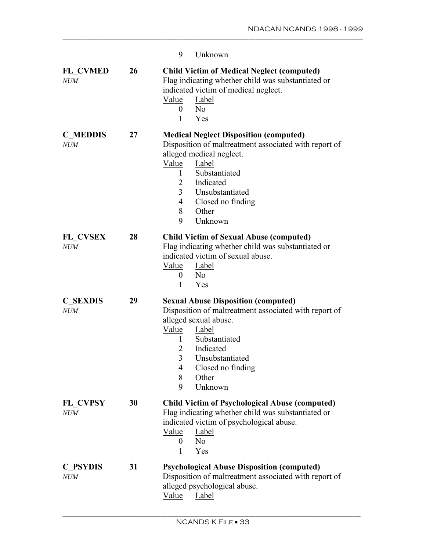|                               |    | 9<br>Unknown                                                                                                                                                                                                                                                                      |
|-------------------------------|----|-----------------------------------------------------------------------------------------------------------------------------------------------------------------------------------------------------------------------------------------------------------------------------------|
| <b>FL CVMED</b><br><b>NUM</b> | 26 | <b>Child Victim of Medical Neglect (computed)</b><br>Flag indicating whether child was substantiated or<br>indicated victim of medical neglect.<br>Label<br>Value<br>N <sub>0</sub><br>$\overline{0}$<br>1<br>Yes                                                                 |
| <b>C MEDDIS</b><br><b>NUM</b> | 27 | <b>Medical Neglect Disposition (computed)</b><br>Disposition of maltreatment associated with report of<br>alleged medical neglect.<br>Value<br>Label<br>Substantiated<br>1<br>Indicated<br>2<br>3<br>Unsubstantiated<br>4<br>Closed no finding<br>Other<br>8<br>9<br>Unknown      |
| <b>FL CVSEX</b><br><b>NUM</b> | 28 | <b>Child Victim of Sexual Abuse (computed)</b><br>Flag indicating whether child was substantiated or<br>indicated victim of sexual abuse.<br><u>Value</u><br><b>Label</b><br>$\theta$<br>N <sub>0</sub><br>Yes<br>1                                                               |
| <b>C SEXDIS</b><br><b>NUM</b> | 29 | <b>Sexual Abuse Disposition (computed)</b><br>Disposition of maltreatment associated with report of<br>alleged sexual abuse.<br>Value<br>Label<br>$\mathbf{1}$<br>Substantiated<br>Indicated<br>2<br>3<br>Unsubstantiated<br>Closed no finding<br>4<br>8<br>Other<br>Unknown<br>9 |
| <b>FL CVPSY</b><br><b>NUM</b> | 30 | <b>Child Victim of Psychological Abuse (computed)</b><br>Flag indicating whether child was substantiated or<br>indicated victim of psychological abuse.<br>Value<br>Label<br>N <sub>0</sub><br>0<br>Yes<br>1                                                                      |
| <b>C</b> PSYDIS<br><b>NUM</b> | 31 | <b>Psychological Abuse Disposition (computed)</b><br>Disposition of maltreatment associated with report of<br>alleged psychological abuse.<br>Value<br>Label                                                                                                                      |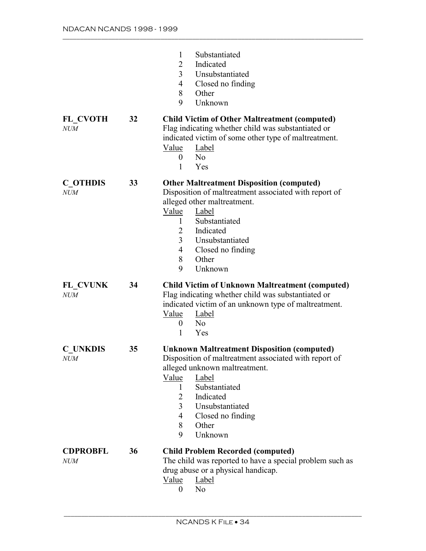|                               |    | $\mathbf{1}$<br>Substantiated<br>Indicated<br>2<br>3<br>Unsubstantiated<br>Closed no finding<br>4<br>8<br>Other<br>9<br>Unknown                                                                                                                                                        |
|-------------------------------|----|----------------------------------------------------------------------------------------------------------------------------------------------------------------------------------------------------------------------------------------------------------------------------------------|
| FL CVOTH<br><b>NUM</b>        | 32 | <b>Child Victim of Other Maltreatment (computed)</b><br>Flag indicating whether child was substantiated or<br>indicated victim of some other type of maltreatment.<br>Label<br>Value<br>N <sub>o</sub><br>$\boldsymbol{0}$<br>1<br>Yes                                                 |
| <b>C</b> OTHDIS<br><b>NUM</b> | 33 | <b>Other Maltreatment Disposition (computed)</b><br>Disposition of maltreatment associated with report of<br>alleged other maltreatment.<br>Value<br>Label<br>Substantiated<br>1<br>Indicated<br>2<br>3<br>Unsubstantiated<br>Closed no finding<br>4<br>Other<br>8<br>9<br>Unknown     |
| FL CVUNK<br><b>NUM</b>        | 34 | <b>Child Victim of Unknown Maltreatment (computed)</b><br>Flag indicating whether child was substantiated or<br>indicated victim of an unknown type of maltreatment.<br>Value<br>Label<br>N <sub>0</sub><br>$\boldsymbol{0}$<br>1<br>Yes                                               |
| <b>C UNKDIS</b><br><i>NUM</i> | 35 | <b>Unknown Maltreatment Disposition (computed)</b><br>Disposition of maltreatment associated with report of<br>alleged unknown maltreatment.<br>Label<br>Value<br>Substantiated<br>1<br>Indicated<br>2<br>3<br>Unsubstantiated<br>4<br>Closed no finding<br>8<br>Other<br>9<br>Unknown |
| <b>CDPROBFL</b><br><b>NUM</b> | 36 | <b>Child Problem Recorded (computed)</b><br>The child was reported to have a special problem such as<br>drug abuse or a physical handicap.<br>Value<br>Label<br>N <sub>o</sub><br>0                                                                                                    |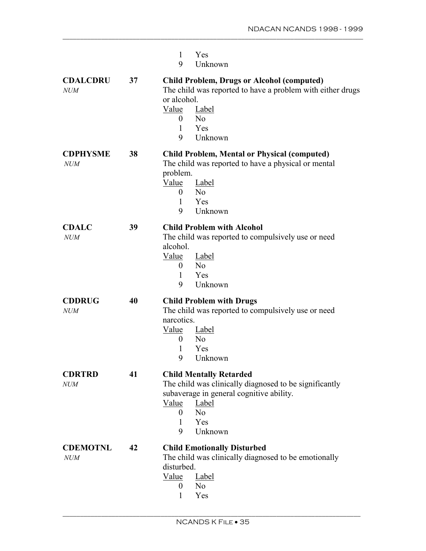|                               |    | Yes<br>1<br>9<br>Unknown                                                                                                                                                                                                          |
|-------------------------------|----|-----------------------------------------------------------------------------------------------------------------------------------------------------------------------------------------------------------------------------------|
| <b>CDALCDRU</b><br><b>NUM</b> | 37 | <b>Child Problem, Drugs or Alcohol (computed)</b><br>The child was reported to have a problem with either drugs<br>or alcohol.<br><u>Value</u><br>Label<br>N <sub>o</sub><br>$\mathbf{0}$<br>$\mathbf{1}$<br>Yes<br>9<br>Unknown  |
| <b>CDPHYSME</b><br><b>NUM</b> | 38 | <b>Child Problem, Mental or Physical (computed)</b><br>The child was reported to have a physical or mental<br>problem.<br>Value<br>Label<br>N <sub>0</sub><br>$\overline{0}$<br>Yes<br>1<br>9<br>Unknown                          |
| <b>CDALC</b><br>NUM           | 39 | <b>Child Problem with Alcohol</b><br>The child was reported to compulsively use or need<br>alcohol.<br><u>Value</u><br><b>Label</b><br>N <sub>0</sub><br>$\overline{0}$<br>Yes<br>1<br>Unknown<br>9                               |
| <b>CDDRUG</b><br><b>NUM</b>   | 40 | <b>Child Problem with Drugs</b><br>The child was reported to compulsively use or need<br>narcotics.<br>Value<br>Label<br>N <sub>0</sub><br>$\theta$<br>1<br>Yes<br>9<br>Unknown                                                   |
| <b>CDRTRD</b><br><b>NUM</b>   | 41 | <b>Child Mentally Retarded</b><br>The child was clinically diagnosed to be significantly<br>subaverage in general cognitive ability.<br>Value<br>Label<br>N <sub>0</sub><br>$\overline{0}$<br>Yes<br>$\mathbf{1}$<br>Unknown<br>9 |
| <b>CDEMOTNL</b><br><b>NUM</b> | 42 | <b>Child Emotionally Disturbed</b><br>The child was clinically diagnosed to be emotionally<br>disturbed.<br>Label<br>Value<br>N <sub>o</sub><br>$\overline{0}$<br>$\mathbf{1}$<br>Yes                                             |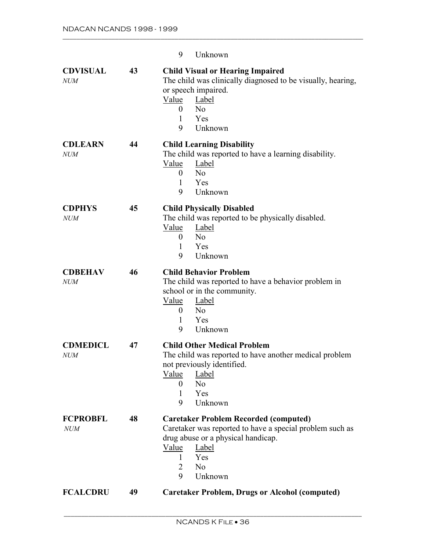|                               |    | N <sub>0</sub><br>2                                                                                                                                                                                                        |
|-------------------------------|----|----------------------------------------------------------------------------------------------------------------------------------------------------------------------------------------------------------------------------|
| <b>FCPROBFL</b><br><b>NUM</b> | 48 | <b>Caretaker Problem Recorded (computed)</b><br>Caretaker was reported to have a special problem such as<br>drug abuse or a physical handicap.<br>Value<br>Label<br>Yes<br>1                                               |
| <b>CDMEDICL</b><br><b>NUM</b> | 47 | <b>Child Other Medical Problem</b><br>The child was reported to have another medical problem<br>not previously identified.<br><u>Value</u><br><b>Label</b><br>N <sub>0</sub><br>$\overline{0}$<br>Yes<br>1<br>Unknown<br>9 |
| <b>CDBEHAV</b><br><b>NUM</b>  | 46 | <b>Child Behavior Problem</b><br>The child was reported to have a behavior problem in<br>school or in the community.<br><u>Value</u><br>Label<br>N <sub>0</sub><br>$\overline{0}$<br>Yes<br>1<br>9<br>Unknown              |
| <b>CDPHYS</b><br><b>NUM</b>   | 45 | <b>Child Physically Disabled</b><br>The child was reported to be physically disabled.<br>Value<br>Label<br>N <sub>0</sub><br>$\overline{0}$<br>Yes<br>1<br>Unknown<br>9                                                    |
| <b>CDLEARN</b><br><b>NUM</b>  | 44 | <b>Child Learning Disability</b><br>The child was reported to have a learning disability.<br>Value<br>Label<br>N <sub>0</sub><br>$\theta$<br>Yes<br>1<br>9<br>Unknown                                                      |
| <b>CDVISUAL</b><br><b>NUM</b> | 43 | <b>Child Visual or Hearing Impaired</b><br>The child was clinically diagnosed to be visually, hearing,<br>or speech impaired.<br>Value<br>Label<br>N <sub>0</sub><br>$\overline{0}$<br>Yes<br>1<br>9<br>Unknown            |
|                               |    | 9<br>Unknown                                                                                                                                                                                                               |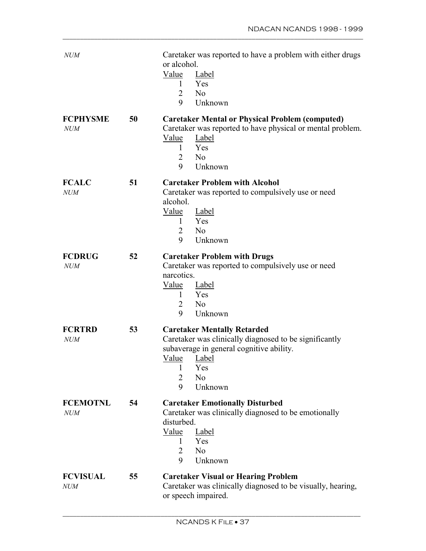| <b>NUM</b>                    |    | Caretaker was reported to have a problem with either drugs<br>or alcohol.<br>Value<br>Label<br>Yes<br>$\mathbf{1}$<br>N <sub>0</sub><br>2<br>9<br>Unknown                                                                         |
|-------------------------------|----|-----------------------------------------------------------------------------------------------------------------------------------------------------------------------------------------------------------------------------------|
| <b>FCPHYSME</b><br>NUM        | 50 | <b>Caretaker Mental or Physical Problem (computed)</b><br>Caretaker was reported to have physical or mental problem.<br>Value<br>Label<br>Yes<br>1<br>N <sub>o</sub><br>2<br>9<br>Unknown                                         |
| <b>FCALC</b><br>NUM           | 51 | <b>Caretaker Problem with Alcohol</b><br>Caretaker was reported to compulsively use or need<br>alcohol.<br>Value<br>Label<br>$\mathbf{1}$<br>Yes<br>2<br>N <sub>0</sub><br>9<br>Unknown                                           |
| <b>FCDRUG</b><br><b>NUM</b>   | 52 | <b>Caretaker Problem with Drugs</b><br>Caretaker was reported to compulsively use or need<br>narcotics.<br>Value<br><b>Label</b><br>Yes<br>1<br>N <sub>0</sub><br>$\overline{2}$<br>9<br>Unknown                                  |
| <b>FCRTRD</b><br><b>NUM</b>   | 53 | <b>Caretaker Mentally Retarded</b><br>Caretaker was clinically diagnosed to be significantly<br>subaverage in general cognitive ability.<br><u>Value</u><br>Label<br>1<br>Yes<br>$\overline{2}$<br>N <sub>0</sub><br>9<br>Unknown |
| <b>FCEMOTNL</b><br><b>NUM</b> | 54 | <b>Caretaker Emotionally Disturbed</b><br>Caretaker was clinically diagnosed to be emotionally<br>disturbed.<br>Value<br>Label<br>Yes<br>1<br>N <sub>o</sub><br>2<br>Unknown<br>9                                                 |
| <b>FCVISUAL</b><br><i>NUM</i> | 55 | <b>Caretaker Visual or Hearing Problem</b><br>Caretaker was clinically diagnosed to be visually, hearing,<br>or speech impaired.                                                                                                  |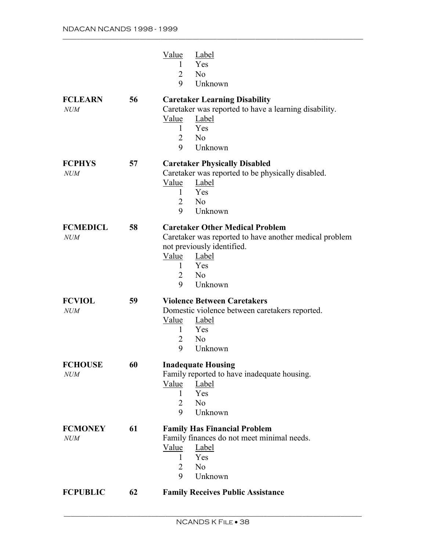|                               |    | Value<br><b>Label</b><br>Yes<br>1<br>$\overline{2}$<br>N <sub>o</sub><br>9<br>Unknown                                                                                                                                   |
|-------------------------------|----|-------------------------------------------------------------------------------------------------------------------------------------------------------------------------------------------------------------------------|
| <b>FCLEARN</b><br><b>NUM</b>  | 56 | <b>Caretaker Learning Disability</b><br>Caretaker was reported to have a learning disability.<br><b>Value</b><br>Label<br>Yes<br>1<br>$\overline{2}$<br>N <sub>o</sub><br>Unknown<br>9                                  |
| <b>FCPHYS</b><br><b>NUM</b>   | 57 | <b>Caretaker Physically Disabled</b><br>Caretaker was reported to be physically disabled.<br>Value<br>Label<br>Yes<br>1<br>N <sub>o</sub><br>$\overline{2}$<br>9<br>Unknown                                             |
| <b>FCMEDICL</b><br><b>NUM</b> | 58 | <b>Caretaker Other Medical Problem</b><br>Caretaker was reported to have another medical problem<br>not previously identified.<br>Value<br><b>Label</b><br>Yes<br>1<br>$\overline{2}$<br>N <sub>o</sub><br>Unknown<br>9 |
| <b>FCVIOL</b><br>NUM          | 59 | <b>Violence Between Caretakers</b><br>Domestic violence between caretakers reported.<br>Value<br>Label<br>Yes<br>1<br>N <sub>o</sub><br>$\overline{2}$<br>9<br>Unknown                                                  |
| <b>FCHOUSE</b><br><i>NUM</i>  | 60 | <b>Inadequate Housing</b><br>Family reported to have inadequate housing.<br>Value<br>Label<br>Yes<br>1<br>N <sub>o</sub><br>$\overline{2}$<br>9<br>Unknown                                                              |
| <b>FCMONEY</b><br><b>NUM</b>  | 61 | <b>Family Has Financial Problem</b><br>Family finances do not meet minimal needs.<br>Value<br><b>Label</b><br>Yes<br>1<br>$\overline{2}$<br>N <sub>o</sub><br>9<br>Unknown                                              |
| <b>FCPUBLIC</b>               | 62 | <b>Family Receives Public Assistance</b>                                                                                                                                                                                |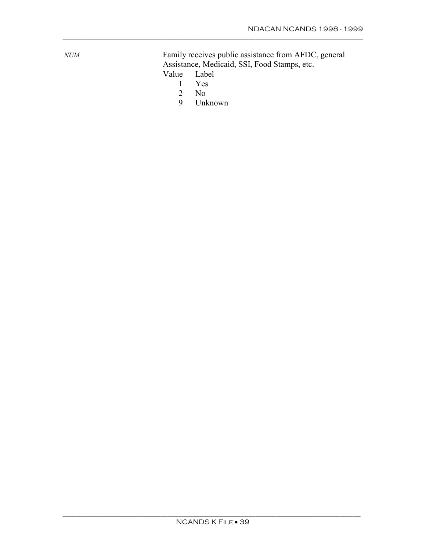Family receives public assistance from AFDC, general Assistance, Medicaid, SSI, Food Stamps, etc.<br>Value Label

- $\frac{\text{Value}}{1}$ 
	- 1 Yes<br>2 No
	- $\begin{array}{cc} 2 & \text{No} \\ 9 & \text{Unl} \end{array}$
	- 9 Unknown

\_\_\_\_\_\_\_\_\_\_\_\_\_\_\_\_\_\_\_\_\_\_\_\_\_\_\_\_\_\_\_\_\_\_\_\_\_\_\_\_\_\_\_\_\_\_\_\_\_\_\_\_\_\_\_\_\_\_\_\_\_\_\_\_\_\_\_\_\_\_\_\_\_\_\_\_\_\_\_\_\_\_\_\_\_\_

 $NUM$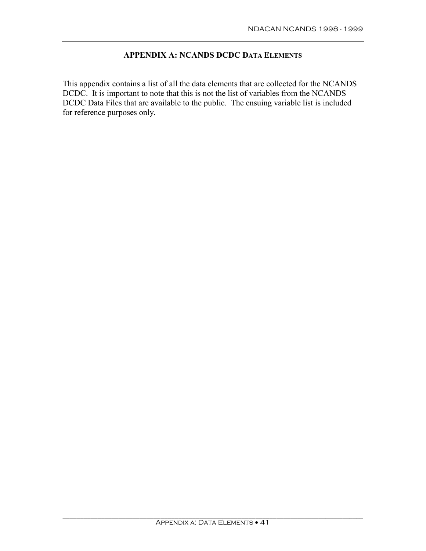# **APPENDIX A: NCANDS DCDC DATA ELEMENTS**

This appendix contains a list of all the data elements that are collected for the NCANDS DCDC. It is important to note that this is not the list of variables from the NCANDS DCDC Data Files that are available to the public. The ensuing variable list is included for reference purposes only.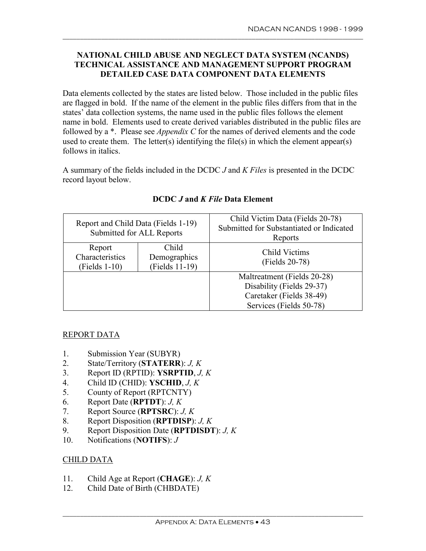## **NATIONAL CHILD ABUSE AND NEGLECT DATA SYSTEM (NCANDS) TECHNICAL ASSISTANCE AND MANAGEMENT SUPPORT PROGRAM DETAILED CASE DATA COMPONENT DATA ELEMENTS**

\_\_\_\_\_\_\_\_\_\_\_\_\_\_\_\_\_\_\_\_\_\_\_\_\_\_\_\_\_\_\_\_\_\_\_\_\_\_\_\_\_\_\_\_\_\_\_\_\_\_\_\_\_\_\_\_\_\_\_\_\_\_\_\_\_\_\_\_\_\_\_\_\_\_\_\_\_\_\_\_\_\_\_\_\_\_

Data elements collected by the states are listed below. Those included in the public files are flagged in bold. If the name of the element in the public files differs from that in the states' data collection systems, the name used in the public files follows the element name in bold. Elements used to create derived variables distributed in the public files are followed by a \*. Please see *Appendix C* for the names of derived elements and the code used to create them. The letter(s) identifying the file(s) in which the element appear(s) follows in italics.

A summary of the fields included in the DCDC *J* and *K Files* is presented in the DCDC record layout below.

| Report and Child Data (Fields 1-19)<br>Submitted for ALL Reports |                                         | Child Victim Data (Fields 20-78)<br>Submitted for Substantiated or Indicated<br>Reports |
|------------------------------------------------------------------|-----------------------------------------|-----------------------------------------------------------------------------------------|
| Report<br>Characteristics<br>$(Fields 1-10)$                     | Child<br>Demographics<br>(Fields 11-19) | Child Victims<br>(Fields 20-78)                                                         |
|                                                                  |                                         | Maltreatment (Fields 20-28)                                                             |
|                                                                  |                                         | Disability (Fields 29-37)<br>Caretaker (Fields 38-49)                                   |
|                                                                  |                                         | Services (Fields 50-78)                                                                 |

## **DCDC** *J* **and** *K File* **Data Element**

## REPORT DATA

- 1. Submission Year (SUBYR)
- 2. State/Territory (**STATERR**): *J, K*
- 3. Report ID (RPTID): **YSRPTID**, *J, K*
- 4. Child ID (CHID): **YSCHID**, *J, K*
- 5. County of Report (RPTCNTY)
- 6. Report Date (**RPTDT**): *J, K*
- 7. Report Source (**RPTSRC**): *J, K*
- 8. Report Disposition (**RPTDISP**): *J, K*
- 9. Report Disposition Date (**RPTDISDT**): *J, K*
- 10. Notifications (**NOTIFS**): *J*

## CHILD DATA

- 11. Child Age at Report (**CHAGE**): *J, K*
- 12. Child Date of Birth (CHBDATE)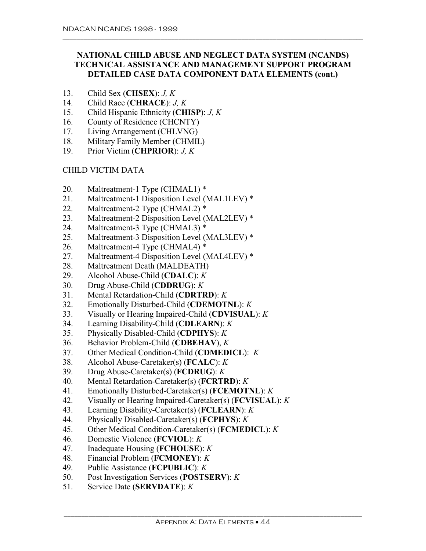# **NATIONAL CHILD ABUSE AND NEGLECT DATA SYSTEM (NCANDS) TECHNICAL ASSISTANCE AND MANAGEMENT SUPPORT PROGRAM DETAILED CASE DATA COMPONENT DATA ELEMENTS (cont.)**

\_\_\_\_\_\_\_\_\_\_\_\_\_\_\_\_\_\_\_\_\_\_\_\_\_\_\_\_\_\_\_\_\_\_\_\_\_\_\_\_\_\_\_\_\_\_\_\_\_\_\_\_\_\_\_\_\_\_\_\_\_\_\_\_\_\_\_\_\_\_\_\_\_\_\_\_\_\_\_\_\_\_\_\_\_\_

- 13. Child Sex (**CHSEX**): *J, K*
- 14. Child Race (**CHRACE**): *J, K*
- 15. Child Hispanic Ethnicity (**CHISP**): *J, K*
- 16. County of Residence (CHCNTY)
- 17. Living Arrangement (CHLVNG)
- 18. Military Family Member (CHMIL)
- 19. Prior Victim (**CHPRIOR**): *J, K*

## CHILD VICTIM DATA

- 20. Maltreatment-1 Type (CHMAL1) \*
- 21. Maltreatment-1 Disposition Level (MAL1LEV) \*
- 22. Maltreatment-2 Type (CHMAL2) \*
- 23. Maltreatment-2 Disposition Level (MAL2LEV) \*
- 24. Maltreatment-3 Type (CHMAL3) \*
- 25. Maltreatment-3 Disposition Level (MAL3LEV) \*
- 26. Maltreatment-4 Type (CHMAL4) \*
- 27. Maltreatment-4 Disposition Level (MAL4LEV) \*
- 28. Maltreatment Death (MALDEATH)
- 29. Alcohol Abuse-Child (**CDALC**): *K*
- 30. Drug Abuse-Child (**CDDRUG**): *K*
- 31. Mental Retardation-Child (**CDRTRD**): *K*
- 32. Emotionally Disturbed-Child (**CDEMOTNL**): *K*
- 33. Visually or Hearing Impaired-Child (**CDVISUAL**): *K*
- 34. Learning Disability-Child (**CDLEARN**): *K*
- 35. Physically Disabled-Child (**CDPHYS**): *K*
- 36. Behavior Problem-Child (**CDBEHAV**), *K*
- 37. Other Medical Condition-Child (**CDMEDICL**): *K*
- 38. Alcohol Abuse-Caretaker(s) (**FCALC**): *K*
- 39. Drug Abuse-Caretaker(s) (**FCDRUG**): *K*
- 40. Mental Retardation-Caretaker(s) (**FCRTRD**): *K*
- 41. Emotionally Disturbed-Caretaker(s) (**FCEMOTNL**): *K*
- 42. Visually or Hearing Impaired-Caretaker(s) (**FCVISUAL**): *K*
- 43. Learning Disability-Caretaker(s) (**FCLEARN**): *K*
- 44. Physically Disabled-Caretaker(s) (**FCPHYS**): *K*
- 45. Other Medical Condition-Caretaker(s) (**FCMEDICL**): *K*
- 46. Domestic Violence (**FCVIOL**): *K*
- 47. Inadequate Housing (**FCHOUSE**): *K*
- 48. Financial Problem (**FCMONEY**): *K*
- 49. Public Assistance (**FCPUBLIC**): *K*
- 50. Post Investigation Services (**POSTSERV**): *K*
- 51. Service Date (**SERVDATE**): *K*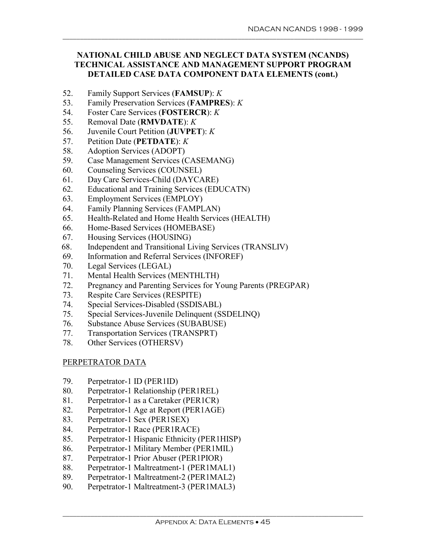# **NATIONAL CHILD ABUSE AND NEGLECT DATA SYSTEM (NCANDS) TECHNICAL ASSISTANCE AND MANAGEMENT SUPPORT PROGRAM DETAILED CASE DATA COMPONENT DATA ELEMENTS (cont.)**

\_\_\_\_\_\_\_\_\_\_\_\_\_\_\_\_\_\_\_\_\_\_\_\_\_\_\_\_\_\_\_\_\_\_\_\_\_\_\_\_\_\_\_\_\_\_\_\_\_\_\_\_\_\_\_\_\_\_\_\_\_\_\_\_\_\_\_\_\_\_\_\_\_\_\_\_\_\_\_\_\_\_\_\_\_\_

- 52. Family Support Services (**FAMSUP**): *K*
- 53. Family Preservation Services (**FAMPRES**): *K*
- 54. Foster Care Services (**FOSTERCR**): *K*
- 55. Removal Date (**RMVDATE**): *K*
- 56. Juvenile Court Petition (**JUVPET**): *K*
- 57. Petition Date (**PETDATE**): *K*
- 58. Adoption Services (ADOPT)
- 59. Case Management Services (CASEMANG)
- 60. Counseling Services (COUNSEL)
- 61. Day Care Services-Child (DAYCARE)
- 62. Educational and Training Services (EDUCATN)
- 63. Employment Services (EMPLOY)
- 64. Family Planning Services (FAMPLAN)
- 65. Health-Related and Home Health Services (HEALTH)
- 66. Home-Based Services (HOMEBASE)
- 67. Housing Services (HOUSING)
- 68. Independent and Transitional Living Services (TRANSLIV)
- 69. Information and Referral Services (INFOREF)
- 70. Legal Services (LEGAL)
- 71. Mental Health Services (MENTHLTH)
- 72. Pregnancy and Parenting Services for Young Parents (PREGPAR)
- 73. Respite Care Services (RESPITE)
- 74. Special Services-Disabled (SSDISABL)
- 75. Special Services-Juvenile Delinquent (SSDELINQ)
- 76. Substance Abuse Services (SUBABUSE)
- 77. Transportation Services (TRANSPRT)
- 78. Other Services (OTHERSV)

## PERPETRATOR DATA

- 79. Perpetrator-1 ID (PER1ID)
- 80. Perpetrator-1 Relationship (PER1REL)
- 81. Perpetrator-1 as a Caretaker (PER1CR)
- 82. Perpetrator-1 Age at Report (PER1AGE)
- 83. Perpetrator-1 Sex (PER1SEX)
- 84. Perpetrator-1 Race (PER1RACE)
- 85. Perpetrator-1 Hispanic Ethnicity (PER1HISP)
- 86. Perpetrator-1 Military Member (PER1MIL)
- 87. Perpetrator-1 Prior Abuser (PER1PIOR)
- 88. Perpetrator-1 Maltreatment-1 (PER1MAL1)
- 89. Perpetrator-1 Maltreatment-2 (PER1MAL2)
- 90. Perpetrator-1 Maltreatment-3 (PER1MAL3)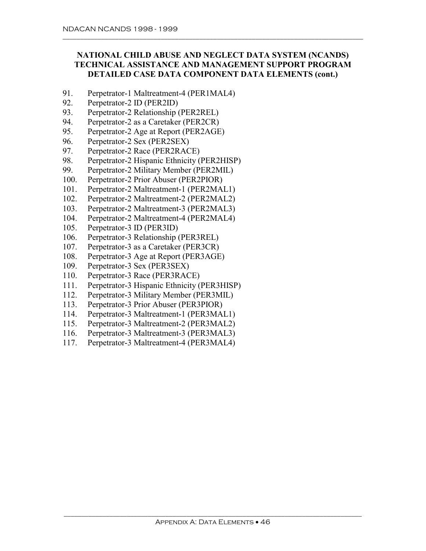# **NATIONAL CHILD ABUSE AND NEGLECT DATA SYSTEM (NCANDS) TECHNICAL ASSISTANCE AND MANAGEMENT SUPPORT PROGRAM DETAILED CASE DATA COMPONENT DATA ELEMENTS (cont.)**

- 91. Perpetrator-1 Maltreatment-4 (PER1MAL4)
- 92. Perpetrator-2 ID (PER2ID)
- 93. Perpetrator-2 Relationship (PER2REL)
- 94. Perpetrator-2 as a Caretaker (PER2CR)
- 95. Perpetrator-2 Age at Report (PER2AGE)
- 96. Perpetrator-2 Sex (PER2SEX)
- 97. Perpetrator-2 Race (PER2RACE)
- 98. Perpetrator-2 Hispanic Ethnicity (PER2HISP)
- 99. Perpetrator-2 Military Member (PER2MIL)
- 100. Perpetrator-2 Prior Abuser (PER2PIOR)
- 101. Perpetrator-2 Maltreatment-1 (PER2MAL1)
- 102. Perpetrator-2 Maltreatment-2 (PER2MAL2)
- 103. Perpetrator-2 Maltreatment-3 (PER2MAL3)
- 104. Perpetrator-2 Maltreatment-4 (PER2MAL4)
- 105. Perpetrator-3 ID (PER3ID)
- 106. Perpetrator-3 Relationship (PER3REL)
- 107. Perpetrator-3 as a Caretaker (PER3CR)
- 108. Perpetrator-3 Age at Report (PER3AGE)
- 109. Perpetrator-3 Sex (PER3SEX)
- 110. Perpetrator-3 Race (PER3RACE)
- 111. Perpetrator-3 Hispanic Ethnicity (PER3HISP)
- 112. Perpetrator-3 Military Member (PER3MIL)
- 113. Perpetrator-3 Prior Abuser (PER3PIOR)
- 114. Perpetrator-3 Maltreatment-1 (PER3MAL1)
- 115. Perpetrator-3 Maltreatment-2 (PER3MAL2)
- 116. Perpetrator-3 Maltreatment-3 (PER3MAL3)
- 117. Perpetrator-3 Maltreatment-4 (PER3MAL4)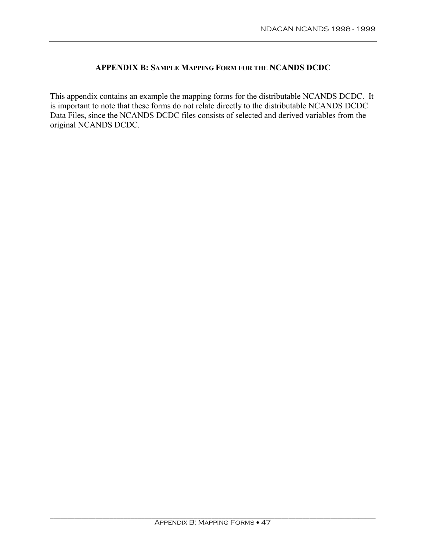# **APPENDIX B: SAMPLE MAPPING FORM FOR THE NCANDS DCDC**

This appendix contains an example the mapping forms for the distributable NCANDS DCDC. It is important to note that these forms do not relate directly to the distributable NCANDS DCDC Data Files, since the NCANDS DCDC files consists of selected and derived variables from the original NCANDS DCDC.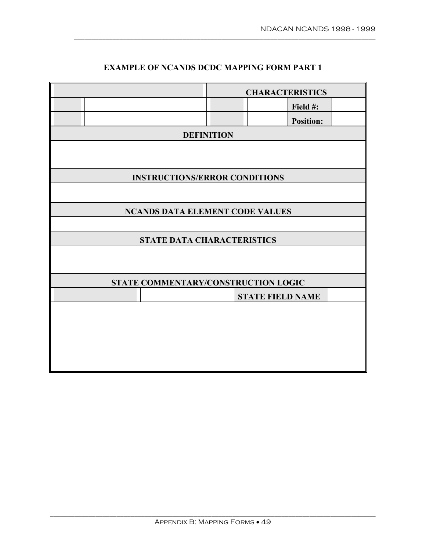|                                        |                   | <b>CHARACTERISTICS</b>  |  |  |  |  |  |
|----------------------------------------|-------------------|-------------------------|--|--|--|--|--|
|                                        |                   | Field #:                |  |  |  |  |  |
|                                        |                   | <b>Position:</b>        |  |  |  |  |  |
|                                        | <b>DEFINITION</b> |                         |  |  |  |  |  |
|                                        |                   |                         |  |  |  |  |  |
|                                        |                   |                         |  |  |  |  |  |
| <b>INSTRUCTIONS/ERROR CONDITIONS</b>   |                   |                         |  |  |  |  |  |
|                                        |                   |                         |  |  |  |  |  |
| <b>NCANDS DATA ELEMENT CODE VALUES</b> |                   |                         |  |  |  |  |  |
|                                        |                   |                         |  |  |  |  |  |
| STATE DATA CHARACTERISTICS             |                   |                         |  |  |  |  |  |
|                                        |                   |                         |  |  |  |  |  |
|                                        |                   |                         |  |  |  |  |  |
| STATE COMMENTARY/CONSTRUCTION LOGIC    |                   |                         |  |  |  |  |  |
|                                        |                   | <b>STATE FIELD NAME</b> |  |  |  |  |  |
|                                        |                   |                         |  |  |  |  |  |
|                                        |                   |                         |  |  |  |  |  |
|                                        |                   |                         |  |  |  |  |  |
|                                        |                   |                         |  |  |  |  |  |
|                                        |                   |                         |  |  |  |  |  |

# **EXAMPLE OF NCANDS DCDC MAPPING FORM PART 1**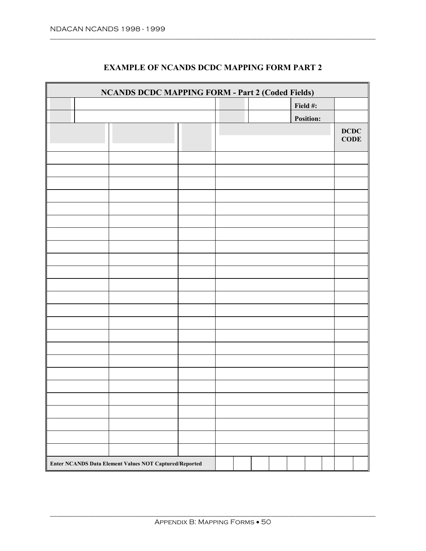| <b>NCANDS DCDC MAPPING FORM - Part 2 (Coded Fields)</b> |  |  |  |  |  |          |                  |  |                     |  |
|---------------------------------------------------------|--|--|--|--|--|----------|------------------|--|---------------------|--|
|                                                         |  |  |  |  |  | Field #: |                  |  |                     |  |
|                                                         |  |  |  |  |  |          | <b>Position:</b> |  |                     |  |
|                                                         |  |  |  |  |  |          |                  |  | DCDC<br><b>CODE</b> |  |
|                                                         |  |  |  |  |  |          |                  |  |                     |  |
|                                                         |  |  |  |  |  |          |                  |  |                     |  |
|                                                         |  |  |  |  |  |          |                  |  |                     |  |
|                                                         |  |  |  |  |  |          |                  |  |                     |  |
|                                                         |  |  |  |  |  |          |                  |  |                     |  |
|                                                         |  |  |  |  |  |          |                  |  |                     |  |
|                                                         |  |  |  |  |  |          |                  |  |                     |  |
|                                                         |  |  |  |  |  |          |                  |  |                     |  |
|                                                         |  |  |  |  |  |          |                  |  |                     |  |
|                                                         |  |  |  |  |  |          |                  |  |                     |  |
|                                                         |  |  |  |  |  |          |                  |  |                     |  |
|                                                         |  |  |  |  |  |          |                  |  |                     |  |
|                                                         |  |  |  |  |  |          |                  |  |                     |  |
|                                                         |  |  |  |  |  |          |                  |  |                     |  |
|                                                         |  |  |  |  |  |          |                  |  |                     |  |
|                                                         |  |  |  |  |  |          |                  |  |                     |  |
|                                                         |  |  |  |  |  |          |                  |  |                     |  |
|                                                         |  |  |  |  |  |          |                  |  |                     |  |
|                                                         |  |  |  |  |  |          |                  |  |                     |  |
|                                                         |  |  |  |  |  |          |                  |  |                     |  |
|                                                         |  |  |  |  |  |          |                  |  |                     |  |
|                                                         |  |  |  |  |  |          |                  |  |                     |  |
|                                                         |  |  |  |  |  |          |                  |  |                     |  |
|                                                         |  |  |  |  |  |          |                  |  |                     |  |
| Enter NCANDS Data Element Values NOT Captured/Reported  |  |  |  |  |  |          |                  |  |                     |  |

# **EXAMPLE OF NCANDS DCDC MAPPING FORM PART 2**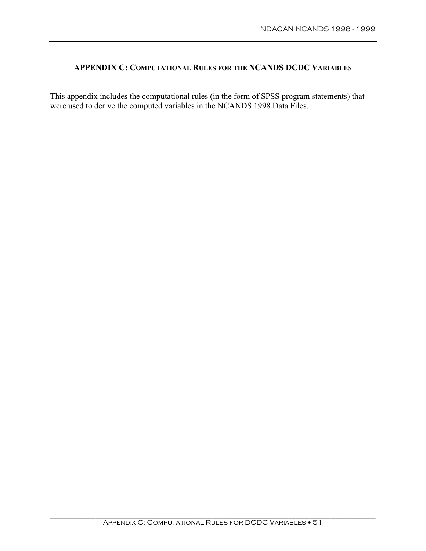## **APPENDIX C: COMPUTATIONAL RULES FOR THE NCANDS DCDC VARIABLES**

This appendix includes the computational rules (in the form of SPSS program statements) that were used to derive the computed variables in the NCANDS 1998 Data Files.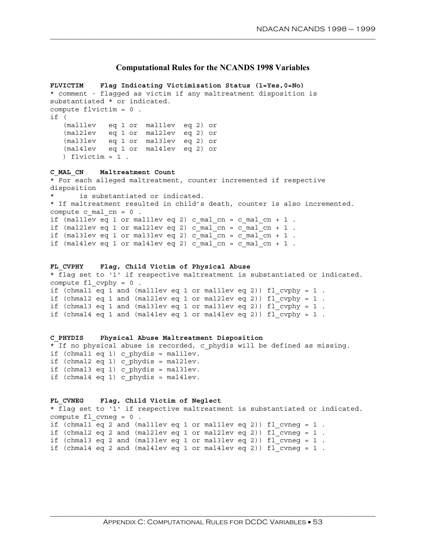#### **Computational Rules for the NCANDS 1998 Variables**

```
FLVICTIM Flag Indicating Victimization Status (1=Yes,0=No)
* comment - flagged as victim if any maltreatment disposition is
substantiated * or indicated.
compute flvictim = 0.
if ( 
   (mal1lev eq 1 or mal1lev eq 2) or 
   (mal2lev eq 1 or mal2lev eq 2) or 
   (mal3lev eq 1 or mal3lev eq 2) or 
   (mal4lev eq 1 or mal4lev eq 2) or 
  ) flvictim=1.
C_MAL_CN Maltreatment Count
* For each alleged maltreatment, counter incremented if respective
disposition
* is substantiated or indicated.
* If maltreatment resulted in child's death, counter is also incremented.
compute c mal cn = 0.
if (\text{mallive} q 1 \text{ or malllev eq 2}) c mal_cn = c_mal_cn + 1.
if (mal2lev eq 1 or mal2lev eq 2) c mal cn = c mal cn + 1.
if (mal3lev eq 1 or mal3lev eq 2) c mal cn = c mal cn + 1.
if (mal4lev eq 1 or mal4lev eq 2) c mal cn = c mal cn + 1.
FL_CVPHY Flag, Child Victim of Physical Abuse
```

```
* flag set to '1' if respective maltreatment is substantiated or indicated.
compute fl cvphy = 0.
if (chmall eq 1 and (malllev eq 1 or malllev eq 2)) fl_cvphy=1.
if (chmal2 eq 1 and (mal2lev eq 1 or mal2lev eq 2)) f1 cvphy = 1.
if (chmal3 eq 1 and (mal3lev eq 1 or mal3lev eq 2)) f\Gamma cvphy = 1.
if (chmal4 eq 1 and (mal4lev eq 1 or mal4lev eq 2)) fl cvphy = 1.
```

```
C_PHYDIS Physical Abuse Maltreatment Disposition
* If no physical abuse is recorded, c phydis will be defined as missing.
if (chmal1 eq 1) c_phydis = mal1lev.
if (chmal2 eq 1) c phydis = mal2lev.
if (chmal3 eq 1) c phydis = mal3lev.
if (chmal4 eq 1) c_phydis = mal4lev.
```

```
FL_CVNEG Flag, Child Victim of Neglect
* flag set to '1' if respective maltreatment is substantiated or indicated.
compute fl cvneg = 0.
if (chmal1 eq 2 and (mal1lev eq 1 or mal1lev eq 2)) fl cvneg = 1.
if (chmal2 eq 2 and (mal2lev eq 1 or mal2lev eq 2)) f_1 cvneg = 1.
if (chmal3 eq 2 and (mal3lev eq 1 or mal3lev eq 2)) fl cvneg = 1.
if (chmal4 eq 2 and (mal4lev eq 1 or mal4lev eq 2)) fl cvneg = 1.
```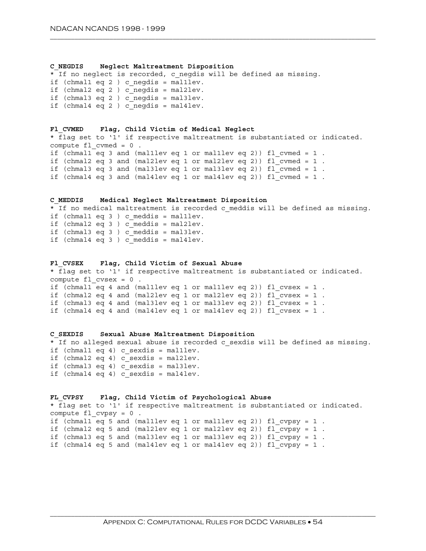#### **C\_NEGDIS Neglect Maltreatment Disposition**

\* If no neglect is recorded, c negdis will be defined as missing. if (chmal1 eq 2 ) c negdis = mal1lev. if (chmal2 eq 2 ) c negdis = mal2lev. if (chmal3 eq 2 ) c negdis = mal3lev. if (chmal4 eq 2 ) c negdis = mal4lev.

```
Fl_CVMED Flag, Child Victim of Medical Neglect
* flag set to '1' if respective maltreatment is substantiated or indicated.
compute f1 cvmed = 0.
if (chmall eq 3 and (malllev eq 1 or malllev eq 2)) fl cvmed = 1.
if (chmal2 eq 3 and (mal2lev eq 1 or mal2lev eq 2)) fl cvmed = 1.
if (chmal3 eq 3 and (mal3lev eq 1 or mal3lev eq 2)) fl cvmed = 1.
if (chmal4 eq 3 and (mal4lev eq 1 or mal4lev eq 2)) fl cvmed = 1.
```

```
C_MEDDIS Medical Neglect Maltreatment Disposition
* If no medical maltreatment is recorded c_meddis will be defined as missing.
if (chmal1 eq 3 ) c meddis = mal1lev.
if (chmal2 eq 3 ) c meddis = mal2lev.
if (chmal3 eq 3 ) c_meddis = mal3lev.
if (chmal4 eq 3 ) c meddis = mal4lev.
```

```
Fl_CVSEX Flag, Child Victim of Sexual Abuse
* flag set to '1' if respective maltreatment is substantiated or indicated.
compute f1 cvsex = 0.
if (chmall eq 4 and (malllev eq 1 or malllev eq 2)) fl cvsex = 1.
if (chmal2 eq 4 and (mal2lev eq 1 or mal2lev eq 2)) fl cvsex = 1.
if (chmal3 eq 4 and (mal3lev eq 1 or mal3lev eq 2)) fl cvsex = 1.
if (chmal4 eq 4 and (mal4lev eq 1 or mal4lev eq 2)) fl_cvsex=1.
```

```
C_SEXDIS Sexual Abuse Maltreatment Disposition
* If no alleged sexual abuse is recorded c sexdis will be defined as missing.
if (chmal1 eq 4) c sexdis = mal1lev.
if (chmal2 eq 4) c sexdis = mal2lev.
if (chmal3 eq 4) c sexdis = mal3lev.
if (chmal4 eq 4) c sexdis = mal4lev.
```

```
FL_CVPSY Flag, Child Victim of Psychological Abuse
* flag set to '1' if respective maltreatment is substantiated or indicated.
compute fl cvpsy = 0.
if (chmall eq 5 and (malllev eq 1 or malllev eq 2)) fl cvpsy = 1.
if (chmal2 eq 5 and (mal2lev eq 1 or mal2lev eq 2)) f_{\text{c}} and f_{\text{c}} = 1.
if (chmal3 eq 5 and (mal3lev eq 1 or mal3lev eq 2)) f_{\text{c}} cvpsy = 1.
if (chmal4 eq 5 and (mal4lev eq 1 or mal4lev eq 2)) fl cvpsy = 1.
```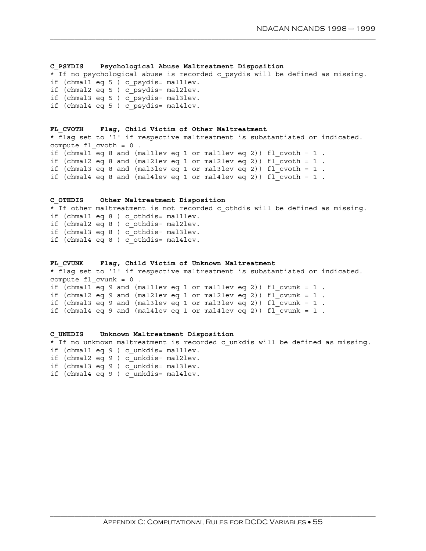#### **C\_PSYDIS Psychological Abuse Maltreatment Disposition**

\* If no psychological abuse is recorded c psydis will be defined as missing. if (chmal1 eq 5 ) c\_psydis= mal1lev. if (chmal2 eq 5 ) c\_psydis= mal2lev. if (chmal3 eq 5 ) c\_psydis= mal3lev. if (chmal4 eq 5 ) c\_psydis= mal4lev.

\_\_\_\_\_\_\_\_\_\_\_\_\_\_\_\_\_\_\_\_\_\_\_\_\_\_\_\_\_\_\_\_\_\_\_\_\_\_\_\_\_\_\_\_\_\_\_\_\_\_\_\_\_\_\_\_\_\_\_\_\_\_\_\_\_\_\_\_\_\_\_\_\_\_\_\_\_\_\_\_\_\_\_\_\_\_\_\_\_\_\_\_\_

#### **FL\_CVOTH Flag, Child Victim of Other Maltreatment** \* flag set to '1' if respective maltreatment is substantiated or indicated. compute  $f1$  cvoth =  $0$ . if (chmall eq 8 and (malllev eq 1 or malllev eq 2)) fl cvoth = 1. if (chmal2 eq 8 and (mal2lev eq 1 or mal2lev eq 2)) fl cvoth =  $1$ . if (chmal3 eq 8 and (mal3lev eq 1 or mal3lev eq 2)) fl cvoth =  $1$ . if (chmal4 eq 8 and (mal4lev eq 1 or mal4lev eq 2)) fl cvoth =  $1$ .

```
C_OTHDIS Other Maltreatment Disposition
* If other maltreatment is not recorded c othdis will be defined as missing.
if (chmal1 eq 8 ) c_othdis= mal1lev.
if (chmal2 eq 8 ) c_othdis= mal2lev.
if (chmal3 eq 8 ) c_othdis= mal3lev.
if (chmal4 eq 8 ) c_othdis= mal4lev.
```
# **FL\_CVUNK Flag, Child Victim of Unknown Maltreatment**

\* flag set to '1' if respective maltreatment is substantiated or indicated. compute  $f1$  cvunk = 0. if (chmal1 eq 9 and (mal1lev eq 1 or mal1lev eq 2)) fl cvunk = 1. if (chmal2 eq 9 and (mal2lev eq 1 or mal2lev eq 2)) fl cvunk =  $1$ . if (chmal3 eq 9 and (mal3lev eq 1 or mal3lev eq 2)) fl cvunk =  $1$ . if (chmal4 eq 9 and (mal4lev eq 1 or mal4lev eq 2)) fl\_cvunk=1.

```
C_UNKDIS Unknown Maltreatment Disposition
* If no unknown maltreatment is recorded c unkdis will be defined as missing.
if (chmal1 eq 9 ) c_unkdis= mal1lev.
if (chmal2 eq 9 ) c_unkdis= mal2lev.
if (chmal3 eq 9 ) c_unkdis= mal3lev.
if (chmal4 eq 9 ) c_unkdis= mal4lev.
```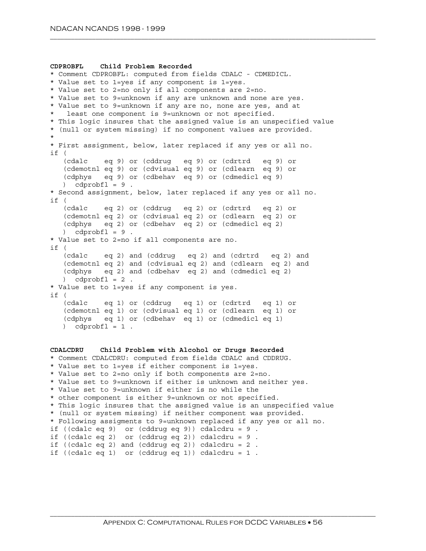```
CDPROBFL Child Problem Recorded
* Comment CDPROBFL: computed from fields CDALC - CDMEDICL.
* Value set to 1=yes if any component is 1=yes.
* Value set to 2=no only if all components are 2=no.
* Value set to 9=unknown if any are unknown and none are yes.
* Value set to 9=unknown if any are no, none are yes, and at
  least one component is 9=unknown or not specified.
* This logic insures that the assigned value is an unspecified value
* (null or system missing) if no component values are provided.
*
* First assignment, below, later replaced if any yes or all no.
if (
   (cdalc eq 9) or (cddrug eq 9) or (cdrtrd eq 9) or
   (cdemotnl eq 9) or (cdvisual eq 9) or (cdlearn eq 9) or
   (cdphys eq 9) or (cdbehav eq 9) or (cdmedicl eq 9)
   ) cdprobfl = 9.
* Second assignment, below, later replaced if any yes or all no.
if (
   (cdalc eq 2) or (cddrug eq 2) or (cdrtrd eq 2) or
   (cdemotnl eq 2) or (cdvisual eq 2) or (cdlearn eq 2) or
   (cdphys eq 2) or (cdbehav eq 2) or (cdmedicl eq 2)
   ) cdprobfl = 9.
* Value set to 2=no if all components are no.
if (
   (cdalc eq 2) and (cddrug eq 2) and (cdrtrd eq 2) and
   (cdemotnl eq 2) and (cdvisual eq 2) and (cdlearn eq 2) and
   (cdphys eq 2) and (cdbehav eq 2) and (cdmedicl eq 2)
   ) cdprobfl = 2.
* Value set to 1=yes if any component is yes.
if (
   (cdalc eq 1) or (cddrug eq 1) or (cdrtrd eq 1) or
   (cdemotnl eq 1) or (cdvisual eq 1) or (cdlearn eq 1) or
   (cdphys eq 1) or (cdbehav eq 1) or (cdmedicl eq 1)
   ) cdprobfl = 1.
CDALCDRU Child Problem with Alcohol or Drugs Recorded
* Comment CDALCDRU: computed from fields CDALC and CDDRUG.
* Value set to 1=yes if either component is 1=yes.
* Value set to 2=no only if both components are 2=no.
* Value set to 9=unknown if either is unknown and neither yes.
* Value set to 9=unknown if either is no while the
* other component is either 9=unknown or not specified.
* This logic insures that the assigned value is an unspecified value
* (null or system missing) if neither component was provided.
* Following assigments to 9=unknown replaced if any yes or all no.
if ((cdalc eq 9) or (cddrug eq 9)) cdalcdru = 9.
if ((cdalc eq 2) or (cddrug eq 2)) cdalcdru = 9.
if ((cdalc eq 2) and (cddrug eq 2)) cdalcdru = 2.
if ((cdalc eq 1) or (cddrug eq 1)) cdalcdru = 1.
```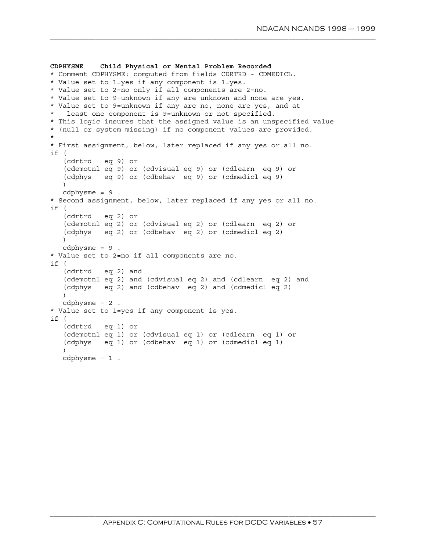```
CDPHYSME Child Physical or Mental Problem Recorded
* Comment CDPHYSME: computed from fields CDRTRD - CDMEDICL.
* Value set to 1=yes if any component is 1=yes.
* Value set to 2=no only if all components are 2=no.
* Value set to 9=unknown if any are unknown and none are yes.
* Value set to 9=unknown if any are no, none are yes, and at
   least one component is 9=unknown or not specified.
* This logic insures that the assigned value is an unspecified value
* (null or system missing) if no component values are provided.
*
* First assignment, below, later replaced if any yes or all no.
if (
   (cdrtrd eq 9) or
   (cdemotnl eq 9) or (cdvisual eq 9) or (cdlearn eq 9) or
   (cdphys eq 9) or (cdbehav eq 9) or (cdmedicl eq 9)
   \lambdacdphysme = 9.
* Second assignment, below, later replaced if any yes or all no.
if (
   (cdrtrd eq 2) or
   (cdemotnl eq 2) or (cdvisual eq 2) or (cdlearn eq 2) or
   (cdphys eq 2) or (cdbehav eq 2) or (cdmedicl eq 2)
  )
  cdphysme = 9.
* Value set to 2=no if all components are no.
if (
   (cdrtrd eq 2) and
   (cdemotnl eq 2) and (cdvisual eq 2) and (cdlearn eq 2) and
   (cdphys eq 2) and (cdbehav eq 2) and (cdmedicl eq 2)
  )
  cdphysme = 2.
* Value set to 1=yes if any component is yes.
if (
   (cdrtrd eq 1) or
   (cdemotnl eq 1) or (cdvisual eq 1) or (cdlearn eq 1) or
   (cdphys eq 1) or (cdbehav eq 1) or (cdmedicl eq 1)
   \lambdacdphysme = 1.
```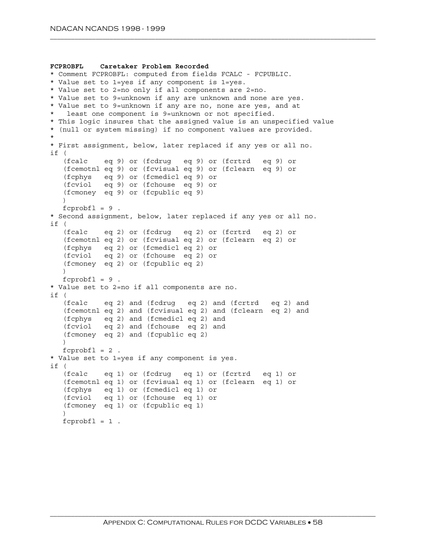```
FCPROBFL Caretaker Problem Recorded
* Comment FCPROBFL: computed from fields FCALC - FCPUBLIC.
* Value set to 1=yes if any component is 1=yes.
* Value set to 2=no only if all components are 2=no.
* Value set to 9=unknown if any are unknown and none are yes.
* Value set to 9=unknown if any are no, none are yes, and at
  least one component is 9=unknown or not specified.
* This logic insures that the assigned value is an unspecified value
* (null or system missing) if no component values are provided.
*
* First assignment, below, later replaced if any yes or all no.
if (
   (fcalc eq 9) or (fcdrug eq 9) or (fcrtrd eq 9) or
   (fcemotnl eq 9) or (fcvisual eq 9) or (fclearn eq 9) or
  (fcphys eq 9) or (fcmedicl eq 9) or
  (fcviol eq 9) or (fchouse eq 9) or
  (fcmoney eq 9) or (fcpublic eq 9)
  )
  fcprobfl = 9.
* Second assignment, below, later replaced if any yes or all no.
if (
   (fcalc eq 2) or (fcdrug eq 2) or (fcrtrd eq 2) or
   (fcemotnl eq 2) or (fcvisual eq 2) or (fclearn eq 2) or
   (fcphys eq 2) or (fcmedicl eq 2) or
  (fcviol eq 2) or (fchouse eq 2) or
  (fcmoney eq 2) or (fcpublic eq 2)
   )
  fcprobf1 = 9.
* Value set to 2=no if all components are no.
if (
  (fcalc eq 2) and (fcdrug eq 2) and (fcrtrd eq 2) and
   (fcemotnl eq 2) and (fcvisual eq 2) and (fclearn eq 2) and
  (fcphys eq 2) and (fcmedicl eq 2) and
   (fcviol eq 2) and (fchouse eq 2) and
   (fcmoney eq 2) and (fcpublic eq 2)
  \lambdafcprobfl = 2.
* Value set to 1=yes if any component is yes.
if (
   (fcalc eq 1) or (fcdrug eq 1) or (fcrtrd eq 1) or
   (fcemotnl eq 1) or (fcvisual eq 1) or (fclearn eq 1) or
   (fcphys eq 1) or (fcmedicl eq 1) or
   (fcviol eq 1) or (fchouse eq 1) or
   (fcmoney eq 1) or (fcpublic eq 1)
   \lambdafcprobfl = 1.
```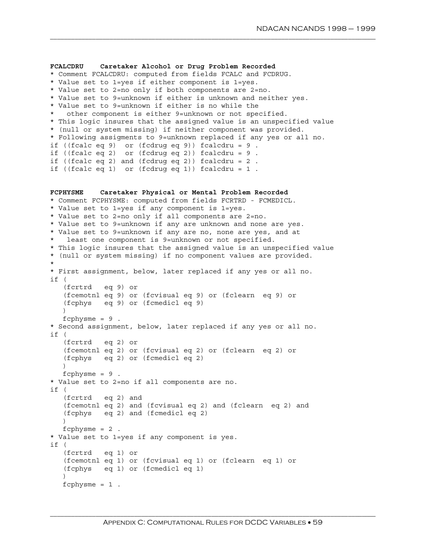```
FCALCDRU Caretaker Alcohol or Drug Problem Recorded
* Comment FCALCDRU: computed from fields FCALC and FCDRUG.
* Value set to 1=yes if either component is 1=yes.
* Value set to 2=no only if both components are 2=no.
* Value set to 9=unknown if either is unknown and neither yes.
* Value set to 9=unknown if either is no while the
   other component is either 9=unknown or not specified.
* This logic insures that the assigned value is an unspecified value
* (null or system missing) if neither component was provided.
* Following assigments to 9=unknown replaced if any yes or all no.
if ((fcalc eq 9) or (fcdrug eq 9)) fcalcdru = 9.
if ((fcalc eq 2) or (fcdrug eq 2)) fcalcdru = 9.
if ((fcalc eq 2) and (fcdrug eq 2)) fcalcdru = 2.
if ((fcalc eq 1) or (fcdrug eq 1)) fcalcdru = 1.
FCPHYSME Caretaker Physical or Mental Problem Recorded
* Comment FCPHYSME: computed from fields FCRTRD - FCMEDICL.
* Value set to 1=yes if any component is 1=yes.
* Value set to 2=no only if all components are 2=no.
* Value set to 9=unknown if any are unknown and none are yes.
* Value set to 9=unknown if any are no, none are yes, and at
  least one component is 9=unknown or not specified.
* This logic insures that the assigned value is an unspecified value
* (null or system missing) if no component values are provided.
*
* First assignment, below, later replaced if any yes or all no.
if (
   (fcrtrd eq 9) or
   (fcemotnl eq 9) or (fcvisual eq 9) or (fclearn eq 9) or
   (fcphys eq 9) or (fcmedicl eq 9)
   )
   fcphysme = 9.
* Second assignment, below, later replaced if any yes or all no.
if (
   (fcrtrd eq 2) or
   (fcemotnl eq 2) or (fcvisual eq 2) or (fclearn eq 2) or
   (fcphys eq 2) or (fcmedicl eq 2)
   \lambdafcphysme = 9.
* Value set to 2=no if all components are no.
if (
   (fcrtrd eq 2) and
   (fcemotnl eq 2) and (fcvisual eq 2) and (fclearn eq 2) and
   (fcphys eq 2) and (fcmedicl eq 2)
   )
   fcphysme = 2.
* Value set to 1=yes if any component is yes.
if (
   (fcrtrd eq 1) or
   (fcemotnl eq 1) or (fcvisual eq 1) or (fclearn eq 1) or
   (fcphys eq 1) or (fcmedicl eq 1)
   \lambdafcphysme = 1.
```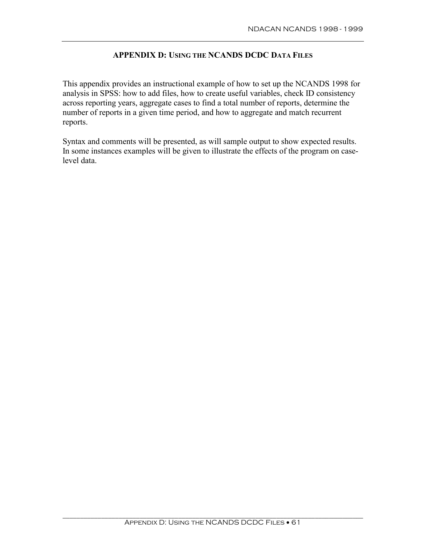# **APPENDIX D: USING THE NCANDS DCDC DATA FILES**

This appendix provides an instructional example of how to set up the NCANDS 1998 for analysis in SPSS: how to add files, how to create useful variables, check ID consistency across reporting years, aggregate cases to find a total number of reports, determine the number of reports in a given time period, and how to aggregate and match recurrent reports.

Syntax and comments will be presented, as will sample output to show expected results. In some instances examples will be given to illustrate the effects of the program on caselevel data.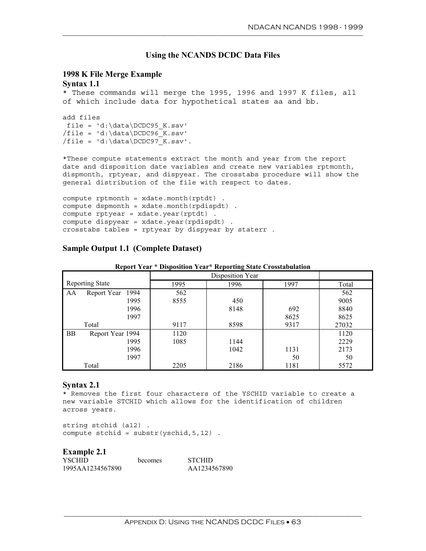### **Using the NCANDS DCDC Data Files**

# **1998 K File Merge Example**

# **Syntax 1.1**

\* These commands will merge the 1995, 1996 and 1997 K files, all of which include data for hypothetical states aa and bb.

```
add files
file = 'd:\data\DCDC95_K.sav'
/file = 'd:\data\DCDC96 K.sav'/file = 'd:\data\DCDC97 K.sav'.
```
\*These compute statements extract the month and year from the report date and disposition date variables and create new variables rptmonth, dispmonth, rptyear, and dispyear. The crosstabs procedure will show the general distribution of the file with respect to dates.

```
compute rptmonth = xdate.month(rptdt) .
compute dspmonth = xdate.month(rpdispdt) .
compute rptyear = xdate.year(rptdt) .
compute dispyear = xdate.year(rpdispdt) .
crosstabs tables = rptyear by dispyear by staterr .
```
## **Sample Output 1.1 (Complete Dataset)**

| <b>Report Year * Disposition Year * Reporting State Crosstabulation</b> |  |  |  |  |
|-------------------------------------------------------------------------|--|--|--|--|
|-------------------------------------------------------------------------|--|--|--|--|

|                        |                  |      | Disposition Year |      |       |
|------------------------|------------------|------|------------------|------|-------|
| <b>Reporting State</b> |                  | 1995 | 1996             | 1997 | Total |
| AA                     | Report Year 1994 | 562  |                  |      | 562   |
|                        | 1995             | 8555 | 450              |      | 9005  |
|                        | 1996             |      | 8148             | 692  | 8840  |
|                        | 1997             |      |                  | 8625 | 8625  |
| Total                  |                  | 9117 | 8598             | 9317 | 27032 |
| <b>BB</b>              | Report Year 1994 | 1120 |                  |      | 1120  |
|                        | 1995             | 1085 | 1144             |      | 2229  |
|                        | 1996             |      | 1042             | 1131 | 2173  |
|                        | 1997             |      |                  | 50   | 50    |
| Total                  |                  | 2205 | 2186             | 1181 | 5572  |

#### **Syntax 2.1**

\* Removes the first four characters of the YSCHID variable to create a new variable STCHID which allows for the identification of children across years.

string stchid (a12) . compute stchid =  $\text{substr}(\text{yschid}, 5, 12)$ .

#### **Example 2.1**

| <b>YSCHID</b>    | becomes | <b>STCHID</b> |
|------------------|---------|---------------|
| 1995AA1234567890 |         | AA1234567890  |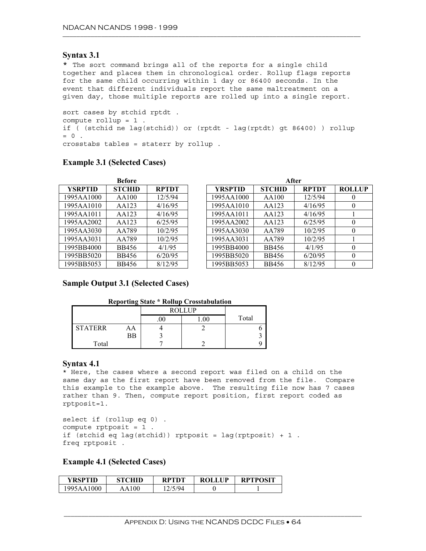#### **Syntax 3.1**

\* The sort command brings all of the reports for a single child together and places them in chronological order. Rollup flags reports for the same child occurring within 1 day or 86400 seconds. In the event that different individuals report the same maltreatment on a given day, those multiple reports are rolled up into a single report.

sort cases by stchid rptdt . compute rollup=1. if ( (stchid ne lag(stchid)) or (rptdt - lag(rptdt) gt 86400) ) rollup  $= 0$ . crosstabs tables = staterr by rollup .

| <b>Before</b>  |               |              |  |                |               | After        |                  |
|----------------|---------------|--------------|--|----------------|---------------|--------------|------------------|
| <b>YSRPTID</b> | <b>STCHID</b> | <b>RPTDT</b> |  | <b>YRSPTID</b> | <b>STCHID</b> | <b>RPTDT</b> | <b>ROLLUP</b>    |
| 1995AA1000     | AA100         | 12/5/94      |  | 1995AA1000     | AA100         | 12/5/94      | $\theta$         |
| 1995AA1010     | AA123         | 4/16/95      |  | 1995AA1010     | AA123         | 4/16/95      | $\theta$         |
| 1995AA1011     | AA123         | 4/16/95      |  | 1995AA1011     | AA123         | 4/16/95      |                  |
| 1995AA2002     | AA123         | 6/25/95      |  | 1995AA2002     | AA123         | 6/25/95      | $\theta$         |
| 1995AA3030     | AA789         | 10/2/95      |  | 1995AA3030     | AA789         | 10/2/95      | $\theta$         |
| 1995AA3031     | AA789         | 10/2/95      |  | 1995AA3031     | AA789         | 10/2/95      |                  |
| 1995BB4000     | <b>BB456</b>  | 4/1/95       |  | 1995BB4000     | <b>BB456</b>  | 4/1/95       | $\Omega$         |
| 1995BB5020     | <b>BB456</b>  | 6/20/95      |  | 1995BB5020     | <b>BB456</b>  | 6/20/95      | $\theta$         |
| 1995BB5053     | <b>BB456</b>  | 8/12/95      |  | 1995BB5053     | <b>BB456</b>  | 8/12/95      | $\boldsymbol{0}$ |

#### **Example 3.1 (Selected Cases)**

## **Sample Output 3.1 (Selected Cases)**

#### **Reporting State \* Rollup Crosstabulation**

|                |    |     | <b>ROLLUP</b> |       |
|----------------|----|-----|---------------|-------|
|                |    | .UU |               | Total |
| <b>STATERR</b> | AA |     |               |       |
|                | ΒB |     |               |       |
| Total          |    |     |               |       |

#### **Syntax 4.1**

\* Here, the cases where a second report was filed on a child on the same day as the first report have been removed from the file. Compare this example to the example above. The resulting file now has 7 cases rather than 9. Then, compute report position, first report coded as rptposit=1.

```
select if (rollup eq 0) .
compute rptposit = 1.
if (stchid eq lag(stchid)) rptposit = lag(rptposit) + 1.
freq rptposit .
```
#### **Example 4.1 (Selected Cases)**

| YRSPTID    | STCHID    | <b>RPTDT</b> | <b>ROLLUP</b> | <b>RPTPOSIT</b> |
|------------|-----------|--------------|---------------|-----------------|
| 1995AA1000 | 100<br>AΑ | 2/5/04       |               |                 |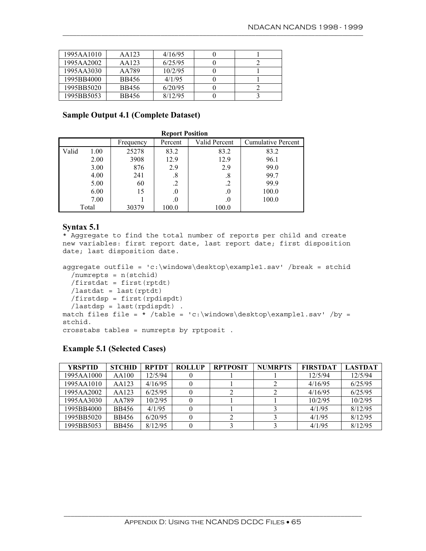| 1995AA1010 | AA123 | 4/16/95 |  |
|------------|-------|---------|--|
| 1995AA2002 | AA123 | 6/25/95 |  |
| 1995AA3030 | AA789 | 10/2/95 |  |
| 1995BB4000 | BB456 | 4/1/95  |  |
| 1995BB5020 | BB456 | 6/20/95 |  |
| 1995BB5053 | BB456 | 8/12/95 |  |

## **Sample Output 4.1 (Complete Dataset)**

|       | <b>Report Position</b> |           |         |               |                           |  |  |  |  |
|-------|------------------------|-----------|---------|---------------|---------------------------|--|--|--|--|
|       |                        | Frequency | Percent | Valid Percent | <b>Cumulative Percent</b> |  |  |  |  |
| Valid | 1.00                   | 25278     | 83.2    | 83.2          | 83.2                      |  |  |  |  |
|       | 2.00                   | 3908      | 12.9    | 12.9          | 96.1                      |  |  |  |  |
|       | 3.00                   | 876       | 2.9     | 2.9           | 99.0                      |  |  |  |  |
|       | 4.00                   | 241       | .8      | .8            | 99.7                      |  |  |  |  |
|       | 5.00                   | 60        | .2      | .2            | 99.9                      |  |  |  |  |
|       | 6.00                   | 15        | .0      | .0            | 100.0                     |  |  |  |  |
|       | 7.00                   |           | .0      | .0            | 100.0                     |  |  |  |  |
|       | Total                  | 30379     | 100.0   | 100.0         |                           |  |  |  |  |

#### **Syntax 5.1**

\* Aggregate to find the total number of reports per child and create new variables: first report date, last report date; first disposition date; last disposition date.

```
aggregate outfile = 'c:\windows\desktop\example1.sav' /break = stchid
  /numrepts = n(stchid)
 /firstdat = first(rptdt)
 /lastdat = last(rptdt)
 /firstdsp = first(rpdispdt)
 /lastdsp = last(rpdispdt) .
match files file = * /table = 'c:\windows\desktop\example1.sav' /by =
stchid.
crosstabs tables = numrepts by rptposit .
```
#### **Example 5.1 (Selected Cases)**

| <b>YRSPTID</b> | <b>STCHID</b> | <b>RPTDT</b> | <b>ROLLUP</b> | <b>RPTPOSIT</b> | <b>NUMRPTS</b> | <b>FIRSTDAT</b> | <b>LASTDAT</b> |
|----------------|---------------|--------------|---------------|-----------------|----------------|-----------------|----------------|
| 1995AA1000     | AA100         | 12/5/94      |               |                 |                | 12/5/94         | 12/5/94        |
| 1995AA1010     | AA123         | 4/16/95      |               |                 |                | 4/16/95         | 6/25/95        |
| 1995AA2002     | AA123         | 6/25/95      |               |                 |                | 4/16/95         | 6/25/95        |
| 1995AA3030     | AA789         | 10/2/95      |               |                 |                | 10/2/95         | 10/2/95        |
| 1995BB4000     | BB456         | 4/1/95       |               |                 |                | 4/1/95          | 8/12/95        |
| 1995BB5020     | <b>BB456</b>  | 6/20/95      |               |                 |                | 4/1/95          | 8/12/95        |
| 1995BB5053     | BB456         | 8/12/95      |               |                 |                | 4/1/95          | 8/12/95        |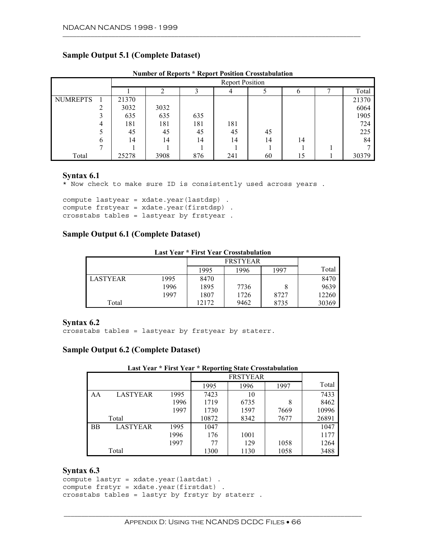## **Sample Output 5.1 (Complete Dataset)**

|                 |   |       | <b>Report Position</b> |     |     |    |    |              |       |  |
|-----------------|---|-------|------------------------|-----|-----|----|----|--------------|-------|--|
|                 |   |       |                        |     |     |    | b  | $\mathbf{r}$ | Total |  |
| <b>NUMREPTS</b> |   | 21370 |                        |     |     |    |    |              | 21370 |  |
|                 |   | 3032  | 3032                   |     |     |    |    |              | 6064  |  |
|                 |   | 635   | 635                    | 635 |     |    |    |              | 1905  |  |
|                 |   | 181   | 181                    | 181 | 181 |    |    |              | 724   |  |
|                 |   | 45    | 45                     | 45  | 45  | 45 |    |              | 225   |  |
|                 | 6 | 14    | 14                     | 14  | 14  | 14 | 14 |              | 84    |  |
|                 |   |       |                        |     |     |    |    |              |       |  |
| Total           |   | 25278 | 3908                   | 876 | 241 | 60 | 15 |              | 30379 |  |

#### **Number of Reports \* Report Position Crosstabulation**

#### **Syntax 6.1**

\* Now check to make sure ID is consistently used across years .

compute lastyear = xdate.year(lastdsp) . compute frstyear = xdate.year(firstdsp) . crosstabs tables = lastyear by frstyear .

### **Sample Output 6.1 (Complete Dataset)**

**Last Year \* First Year Crosstabulation** 

|          |      |       | <b>FRSTYEAR</b> |      |       |  |  |
|----------|------|-------|-----------------|------|-------|--|--|
|          |      | 1995  | 1996            | 1997 | Total |  |  |
| LASTYEAR | 1995 | 8470  |                 |      | 8470  |  |  |
|          | 1996 | 1895  | 7736            |      | 9639  |  |  |
|          | 1997 | 1807  | 1726            | 8727 | 12260 |  |  |
| Total    |      | 12172 | 9462            | 8735 | 30369 |  |  |

#### **Syntax 6.2**

crosstabs tables = lastyear by frstyear by staterr.

#### **Sample Output 6.2 (Complete Dataset)**

|           |                 |      | 1995  | 1996 | 1997 | Total |
|-----------|-----------------|------|-------|------|------|-------|
| AA        | <b>LASTYEAR</b> | 1995 | 7423  | 10   |      | 7433  |
|           |                 | 1996 | 1719  | 6735 | 8    | 8462  |
|           |                 | 1997 | 1730  | 1597 | 7669 | 10996 |
|           | Total           |      | 10872 | 8342 | 7677 | 26891 |
| <b>BB</b> | <b>LASTYEAR</b> | 1995 | 1047  |      |      | 1047  |
|           |                 | 1996 | 176   | 1001 |      | 1177  |
|           |                 | 1997 | 77    | 129  | 1058 | 1264  |
|           | Total           |      | 1300  | 1130 | 1058 | 3488  |

## **Syntax 6.3**

```
compute lastyr = xdate.year(lastdat) .
compute frstyr = xdate.year(firstdat) .
crosstabs tables = lastyr by frstyr by staterr .
```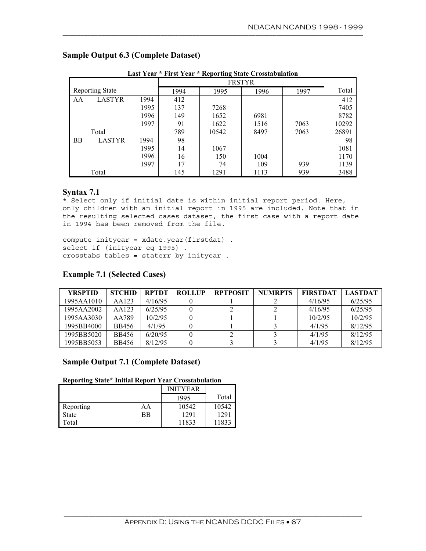| Last Year * First Year * Reporting State Crosstabulation |                        |      |      |       |               |      |       |  |  |
|----------------------------------------------------------|------------------------|------|------|-------|---------------|------|-------|--|--|
|                                                          |                        |      |      |       | <b>FRSTYR</b> |      |       |  |  |
|                                                          | <b>Reporting State</b> |      | 1994 | 1995  | 1996          | 1997 | Total |  |  |
| AA                                                       | <b>LASTYR</b>          | 1994 | 412  |       |               |      | 412   |  |  |
|                                                          |                        | 1995 | 137  | 7268  |               |      | 7405  |  |  |
|                                                          |                        | 1996 | 149  | 1652  | 6981          |      | 8782  |  |  |
|                                                          |                        | 1997 | 91   | 1622  | 1516          | 7063 | 10292 |  |  |
|                                                          | Total                  |      | 789  | 10542 | 8497          | 7063 | 26891 |  |  |
| BB                                                       | <b>LASTYR</b>          | 1994 | 98   |       |               |      | 98    |  |  |
|                                                          |                        | 1995 | 14   | 1067  |               |      | 1081  |  |  |
|                                                          |                        | 1996 | 16   | 150   | 1004          |      | 1170  |  |  |
|                                                          |                        | 1997 | 17   | 74    | 109           | 939  | 1139  |  |  |
|                                                          | Total                  |      | 145  | 1291  | 1113          | 939  | 3488  |  |  |

## **Sample Output 6.3 (Complete Dataset)**

#### **Syntax 7.1**

\* Select only if initial date is within initial report period. Here, only children with an initial report in 1995 are included. Note that in the resulting selected cases dataset, the first case with a report date in 1994 has been removed from the file.

compute inityear = xdate.year(firstdat) . select if (inityear eq 1995) . crosstabs tables = staterr by inityear .

## **Example 7.1 (Selected Cases)**

| <b>YRSPTID</b> | <b>STCHID</b> | <b>RPTDT</b> | <b>ROLLUP</b> | <b>RPTPOSIT</b> | <b>NUMRPTS</b> | <b>FIRSTDAT</b> | <b>LASTDAT</b> |
|----------------|---------------|--------------|---------------|-----------------|----------------|-----------------|----------------|
| 1995AA1010     | AA123         | 4/16/95      |               |                 |                | 4/16/95         | 6/25/95        |
| 1995AA2002     | AA123         | 6/25/95      |               |                 |                | 4/16/95         | 6/25/95        |
| 1995AA3030     | AA789         | 10/2/95      |               |                 |                | 10/2/95         | 10/2/95        |
| 1995BB4000     | <b>BB456</b>  | 4/1/95       |               |                 |                | 4/1/95          | 8/12/95        |
| 1995BB5020     | BB456         | 6/20/95      |               |                 |                | 4/1/95          | 8/12/95        |
| 1995BB5053     | BB456         | 8/12/95      |               |                 |                | 4/1/95          | 8/12/95        |

#### **Sample Output 7.1 (Complete Dataset)**

#### **Reporting State\* Initial Report Year Crosstabulation**

|              |    | <b>INITYEAR</b> |       |
|--------------|----|-----------------|-------|
|              |    | 1995            | Total |
| Reporting    | AA | 10542           | 10542 |
| <b>State</b> | ВB | 1291            | 1291  |
| Total        |    | 11833           | 11833 |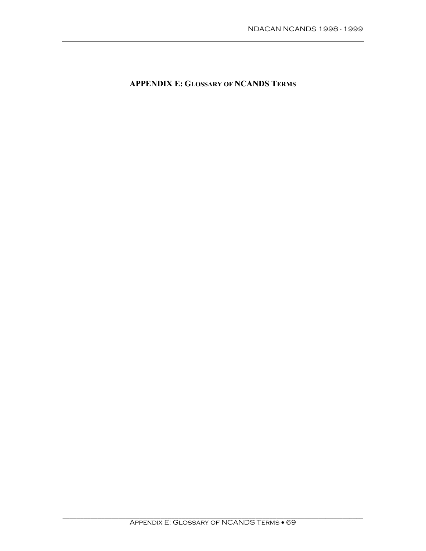**APPENDIX E: GLOSSARY OF NCANDS TERMS**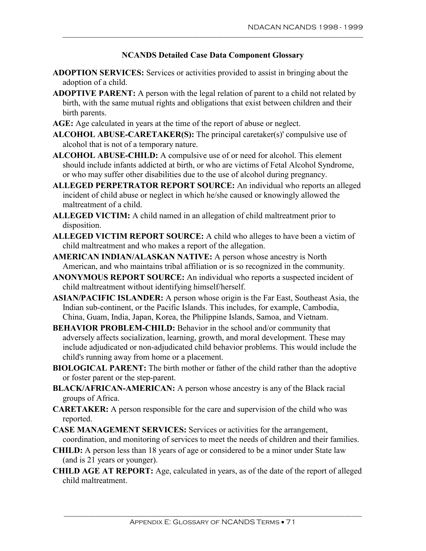- **ADOPTION SERVICES:** Services or activities provided to assist in bringing about the adoption of a child.
- **ADOPTIVE PARENT:** A person with the legal relation of parent to a child not related by birth, with the same mutual rights and obligations that exist between children and their birth parents.
- **AGE:** Age calculated in years at the time of the report of abuse or neglect.
- **ALCOHOL ABUSE-CARETAKER(S):** The principal caretaker(s)' compulsive use of alcohol that is not of a temporary nature.
- **ALCOHOL ABUSE-CHILD:** A compulsive use of or need for alcohol. This element should include infants addicted at birth, or who are victims of Fetal Alcohol Syndrome, or who may suffer other disabilities due to the use of alcohol during pregnancy.
- **ALLEGED PERPETRATOR REPORT SOURCE:** An individual who reports an alleged incident of child abuse or neglect in which he/she caused or knowingly allowed the maltreatment of a child.
- **ALLEGED VICTIM:** A child named in an allegation of child maltreatment prior to disposition.
- **ALLEGED VICTIM REPORT SOURCE:** A child who alleges to have been a victim of child maltreatment and who makes a report of the allegation.
- **AMERICAN INDIAN/ALASKAN NATIVE:** A person whose ancestry is North American, and who maintains tribal affiliation or is so recognized in the community.
- **ANONYMOUS REPORT SOURCE:** An individual who reports a suspected incident of child maltreatment without identifying himself/herself.
- **ASIAN/PACIFIC ISLANDER:** A person whose origin is the Far East, Southeast Asia, the Indian sub-continent, or the Pacific Islands. This includes, for example, Cambodia, China, Guam, India, Japan, Korea, the Philippine Islands, Samoa, and Vietnam.
- **BEHAVIOR PROBLEM-CHILD:** Behavior in the school and/or community that adversely affects socialization, learning, growth, and moral development. These may include adjudicated or non-adjudicated child behavior problems. This would include the child's running away from home or a placement.
- **BIOLOGICAL PARENT:** The birth mother or father of the child rather than the adoptive or foster parent or the step-parent.
- **BLACK/AFRICAN-AMERICAN:** A person whose ancestry is any of the Black racial groups of Africa.
- **CARETAKER:** A person responsible for the care and supervision of the child who was reported.
- **CASE MANAGEMENT SERVICES:** Services or activities for the arrangement, coordination, and monitoring of services to meet the needs of children and their families.
- **CHILD:** A person less than 18 years of age or considered to be a minor under State law (and is 21 years or younger).
- **CHILD AGE AT REPORT:** Age, calculated in years, as of the date of the report of alleged child maltreatment.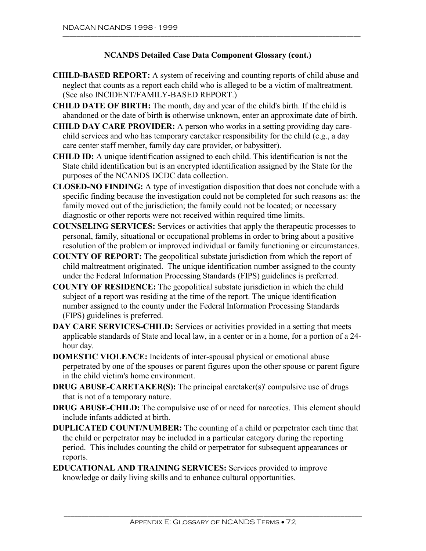- **CHILD-BASED REPORT:** A system of receiving and counting reports of child abuse and neglect that counts as a report each child who is alleged to be a victim of maltreatment. (See also INCIDENT/FAMILY-BASED REPORT.)
- **CHILD DATE OF BIRTH:** The month, day and year of the child's birth. If the child is abandoned or the date of birth **is** otherwise unknown, enter an approximate date of birth.
- **CHILD DAY CARE PROVIDER:** A person who works in a setting providing day carechild services and who has temporary caretaker responsibility for the child (e.g., a day care center staff member, family day care provider, or babysitter).
- **CHILD ID:** A unique identification assigned to each child. This identification is not the State child identification but is an encrypted identification assigned by the State for the purposes of the NCANDS DCDC data collection.
- **CLOSED-NO FINDING:** A type of investigation disposition that does not conclude with a specific finding because the investigation could not be completed for such reasons as: the family moved out of the jurisdiction; the family could not be located; or necessary diagnostic or other reports were not received within required time limits.
- **COUNSELING SERVICES:** Services or activities that apply the therapeutic processes to personal, family, situational or occupational problems in order to bring about a positive resolution of the problem or improved individual or family functioning or circumstances.
- **COUNTY OF REPORT:** The geopolitical substate jurisdiction from which the report of child maltreatment originated. The unique identification number assigned to the county under the Federal Information Processing Standards (FIPS) guidelines is preferred.
- **COUNTY OF RESIDENCE:** The geopolitical substate jurisdiction in which the child subject of **a** report was residing at the time of the report. The unique identification number assigned to the county under the Federal Information Processing Standards (FIPS) guidelines is preferred.
- **DAY CARE SERVICES-CHILD:** Services or activities provided in a setting that meets applicable standards of State and local law, in a center or in a home, for a portion of a 24 hour day.
- **DOMESTIC VIOLENCE:** Incidents of inter-spousal physical or emotional abuse perpetrated by one of the spouses or parent figures upon the other spouse or parent figure in the child victim's home environment.
- **DRUG ABUSE-CARETAKER(S):** The principal caretaker(s)' compulsive use of drugs that is not of a temporary nature.
- **DRUG ABUSE-CHILD:** The compulsive use of or need for narcotics. This element should include infants addicted at birth.
- **DUPLICATED COUNT/NUMBER:** The counting of a child or perpetrator each time that the child or perpetrator may be included in a particular category during the reporting period. This includes counting the child or perpetrator for subsequent appearances or reports.
- **EDUCATIONAL AND TRAINING SERVICES:** Services provided to improve knowledge or daily living skills and to enhance cultural opportunities.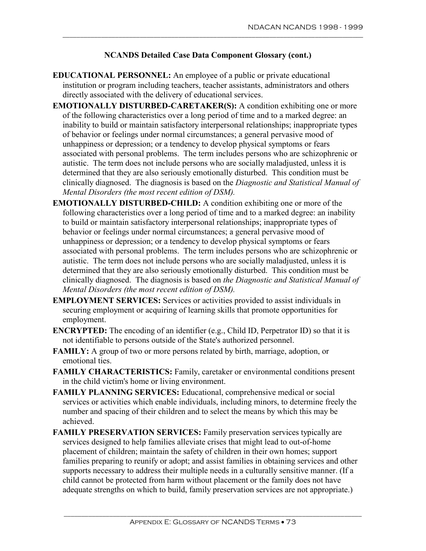- **EDUCATIONAL PERSONNEL:** An employee of a public or private educational institution or program including teachers, teacher assistants, administrators and others directly associated with the delivery of educational services.
- **EMOTIONALLY DISTURBED-CARETAKER(S):** A condition exhibiting one or more of the following characteristics over a long period of time and to a marked degree: an inability to build or maintain satisfactory interpersonal relationships; inappropriate types of behavior or feelings under normal circumstances; a general pervasive mood of unhappiness or depression; or a tendency to develop physical symptoms or fears associated with personal problems. The term includes persons who are schizophrenic or autistic. The term does not include persons who are socially maladjusted, unless it is determined that they are also seriously emotionally disturbed. This condition must be clinically diagnosed. The diagnosis is based on the *Diagnostic and Statistical Manual of Mental Disorders (the most recent edition of DSM).*
- **EMOTIONALLY DISTURBED-CHILD:** A condition exhibiting one or more of the following characteristics over a long period of time and to a marked degree: an inability to build or maintain satisfactory interpersonal relationships; inappropriate types of behavior or feelings under normal circumstances; a general pervasive mood of unhappiness or depression; or a tendency to develop physical symptoms or fears associated with personal problems. The term includes persons who are schizophrenic or autistic. The term does not include persons who are socially maladjusted, unless it is determined that they are also seriously emotionally disturbed. This condition must be clinically diagnosed. The diagnosis is based on *the Diagnostic and Statistical Manual of Mental Disorders (the most recent edition of DSM).*
- **EMPLOYMENT SERVICES:** Services or activities provided to assist individuals in securing employment or acquiring of learning skills that promote opportunities for employment.
- **ENCRYPTED:** The encoding of an identifier (e.g., Child ID, Perpetrator ID) so that it is not identifiable to persons outside of the State's authorized personnel.
- **FAMILY:** A group of two or more persons related by birth, marriage, adoption, or emotional ties.
- **FAMILY CHARACTERISTICS:** Family, caretaker or environmental conditions present in the child victim's home or living environment.
- **FAMILY PLANNING SERVICES:** Educational, comprehensive medical or social services or activities which enable individuals, including minors, to determine freely the number and spacing of their children and to select the means by which this may be achieved.
- FAMILY PRESERVATION SERVICES: Family preservation services typically are services designed to help families alleviate crises that might lead to out-of-home placement of children; maintain the safety of children in their own homes; support families preparing to reunify or adopt; and assist families in obtaining services and other supports necessary to address their multiple needs in a culturally sensitive manner. (If a child cannot be protected from harm without placement or the family does not have adequate strengths on which to build, family preservation services are not appropriate.)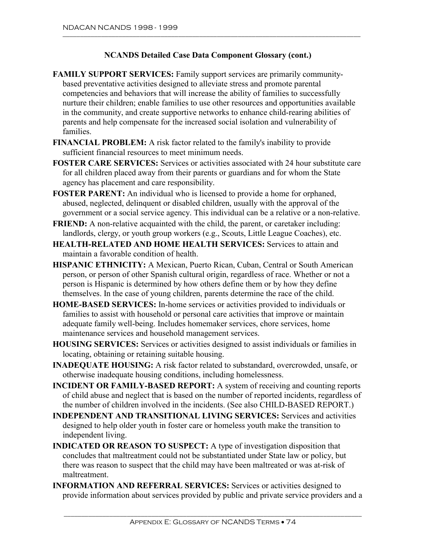- **FAMILY SUPPORT SERVICES:** Family support services are primarily communitybased preventative activities designed to alleviate stress and promote parental competencies and behaviors that will increase the ability of families to successfully nurture their children; enable families to use other resources and opportunities available in the community, and create supportive networks to enhance child-rearing abilities of parents and help compensate for the increased social isolation and vulnerability of families.
- **FINANCIAL PROBLEM:** A risk factor related to the family's inability to provide sufficient financial resources to meet minimum needs.
- **FOSTER CARE SERVICES:** Services or activities associated with 24 hour substitute care for all children placed away from their parents or guardians and for whom the State agency has placement and care responsibility.
- **FOSTER PARENT:** An individual who is licensed to provide a home for orphaned, abused, neglected, delinquent or disabled children, usually with the approval of the government or a social service agency. This individual can be a relative or a non-relative.
- **FRIEND:** A non-relative acquainted with the child, the parent, or caretaker including: landlords, clergy, or youth group workers (e.g., Scouts, Little League Coaches), etc.
- **HEALTH-RELATED AND HOME HEALTH SERVICES:** Services to attain and maintain a favorable condition of health.
- **HISPANIC ETHNICITY:** A Mexican, Puerto Rican, Cuban, Central or South American person, or person of other Spanish cultural origin, regardless of race. Whether or not a person is Hispanic is determined by how others define them or by how they define themselves. In the case of young children, parents determine the race of the child.
- **HOME-BASED SERVICES:** In-home services or activities provided to individuals or families to assist with household or personal care activities that improve or maintain adequate family well-being. Includes homemaker services, chore services, home maintenance services and household management services.
- **HOUSING SERVICES:** Services or activities designed to assist individuals or families in locating, obtaining or retaining suitable housing.
- **INADEQUATE HOUSING:** A risk factor related to substandard, overcrowded, unsafe, or otherwise inadequate housing conditions, including homelessness.
- **INCIDENT OR FAMILY-BASED REPORT:** A system of receiving and counting reports of child abuse and neglect that is based on the number of reported incidents, regardless of the number of children involved in the incidents. (See also CHILD-BASED REPORT.)
- **INDEPENDENT AND TRANSITIONAL LIVING SERVICES:** Services and activities designed to help older youth in foster care or homeless youth make the transition to independent living.
- **INDICATED OR REASON TO SUSPECT:** A type of investigation disposition that concludes that maltreatment could not be substantiated under State law or policy, but there was reason to suspect that the child may have been maltreated or was at-risk of maltreatment.
- **INFORMATION AND REFERRAL SERVICES:** Services or activities designed to provide information about services provided by public and private service providers and a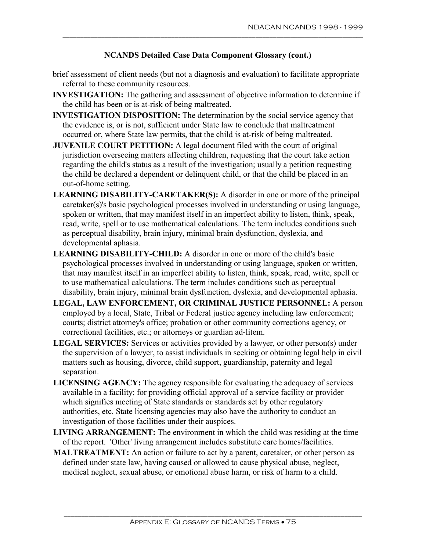- brief assessment of client needs (but not a diagnosis and evaluation) to facilitate appropriate referral to these community resources.
- **INVESTIGATION:** The gathering and assessment of objective information to determine if the child has been or is at-risk of being maltreated.
- **INVESTIGATION DISPOSITION:** The determination by the social service agency that the evidence is, or is not, sufficient under State law to conclude that maltreatment occurred or, where State law permits, that the child is at-risk of being maltreated.
- **JUVENILE COURT PETITION:** A legal document filed with the court of original jurisdiction overseeing matters affecting children, requesting that the court take action regarding the child's status as a result of the investigation; usually a petition requesting the child be declared a dependent or delinquent child, or that the child be placed in an out-of-home setting.
- **LEARNING DISABILITY-CARETAKER(S):** A disorder in one or more of the principal caretaker(s)'s basic psychological processes involved in understanding or using language, spoken or written, that may manifest itself in an imperfect ability to listen, think, speak, read, write, spell or to use mathematical calculations. The term includes conditions such as perceptual disability, brain injury, minimal brain dysfunction, dyslexia, and developmental aphasia.
- **LEARNING DISABILITY-CHILD:** A disorder in one or more of the child's basic psychological processes involved in understanding or using language, spoken or written, that may manifest itself in an imperfect ability to listen, think, speak, read, write, spell or to use mathematical calculations. The term includes conditions such as perceptual disability, brain injury, minimal brain dysfunction, dyslexia, and developmental aphasia.
- **LEGAL, LAW ENFORCEMENT, OR CRIMINAL JUSTICE PERSONNEL:** A person employed by a local, State, Tribal or Federal justice agency including law enforcement; courts; district attorney's office; probation or other community corrections agency, or correctional facilities, etc.; or attorneys or guardian ad-litem.
- **LEGAL SERVICES:** Services or activities provided by a lawyer, or other person(s) under the supervision of a lawyer, to assist individuals in seeking or obtaining legal help in civil matters such as housing, divorce, child support, guardianship, paternity and legal separation.
- **LICENSING AGENCY:** The agency responsible for evaluating the adequacy of services available in a facility; for providing official approval of a service facility or provider which signifies meeting of State standards or standards set by other regulatory authorities, etc. State licensing agencies may also have the authority to conduct an investigation of those facilities under their auspices.
- **LIVING ARRANGEMENT:** The environment in which the child was residing at the time of the report. 'Other' living arrangement includes substitute care homes/facilities.
- **MALTREATMENT:** An action or failure to act by a parent, caretaker, or other person as defined under state law, having caused or allowed to cause physical abuse, neglect, medical neglect, sexual abuse, or emotional abuse harm, or risk of harm to a child.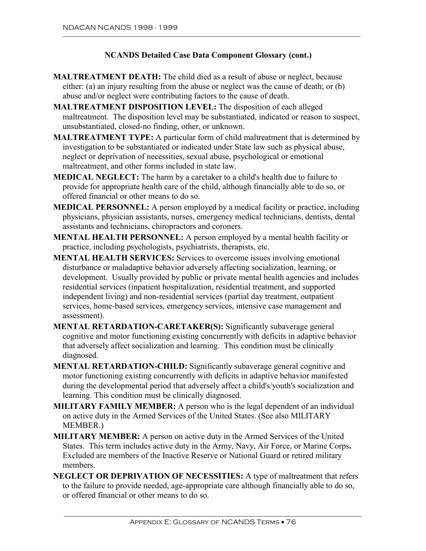- **MALTREATMENT DEATH:** The child died as a result of abuse or neglect, because either: (a) an injury resulting from the abuse or neglect was the cause of death; or (b) abuse and/or neglect were contributing factors to the cause of death.
- **MALTREATMENT DISPOSITION LEVEL:** The disposition of each alleged maltreatment. The disposition level may be substantiated, indicated or reason to suspect, unsubstantiated, closed-no finding, other, or unknown.
- **MALTREATMENT TYPE:** A particular form of child maltreatment that is determined by investigation to be substantiated or indicated under State law such as physical abuse, neglect or deprivation of necessities, sexual abuse, psychological or emotional maltreatment, and other forms included in state law.
- **MEDICAL NEGLECT:** The harm by a caretaker to a child's health due to failure to provide for appropriate health care of the child, although financially able to do so, or offered financial or other means to do so.
- **MEDICAL PERSONNEL:** A person employed by a medical facility or practice, including physicians, physician assistants, nurses, emergency medical technicians, dentists, dental assistants and technicians, chiropractors and coroners.
- **MENTAL HEALTH PERSONNEL:** A person employed by a mental health facility or practice, including psychologists, psychiatrists, therapists, etc.
- **MENTAL HEALTH SERVICES:** Services to overcome issues involving emotional disturbance or maladaptive behavior adversely affecting socialization, learning, or development. Usually provided by public or private mental health agencies and includes residential services (inpatient hospitalization, residential treatment, and supported independent living) and non-residential services (partial day treatment, outpatient services, home-based services, emergency services, intensive case management and assessment).
- **MENTAL RETARDATION-CARETAKER(S):** Significantly subaverage general cognitive and motor functioning existing concurrently with deficits in adaptive behavior that adversely affect socialization and learning. This condition must be clinically diagnosed.
- **MENTAL RETARDATION-CHILD:** Significantly subaverage general cognitive and motor functioning existing concurrently with deficits in adaptive behavior manifested during the developmental period that adversely affect a child's/youth's socialization and learning. This condition must be clinically diagnosed.
- **MILITARY FAMILY MEMBER:** A person who is the legal dependent of an individual on active duty in the Armed Services of the United States. (See also MILITARY MEMBER.)
- States. This term includes active duty in the Army, Navy, Air Force, or Marine Corps**. MILITARY MEMBER:** A person on active duty in the Armed Services of the United Excluded are members of the Inactive Reserve or National Guard or retired military members.
- **NEGLECT OR DEPRIVATION OF NECESSITIES:** A type of maltreatment that refers to the failure to provide needed, age-appropriate care although financially able to do so, or offered financial or other means to do so.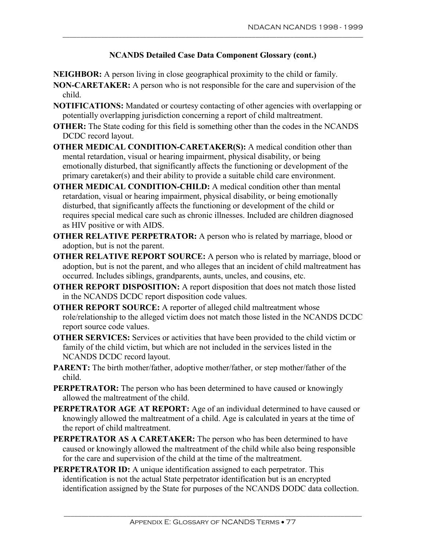\_\_\_\_\_\_\_\_\_\_\_\_\_\_\_\_\_\_\_\_\_\_\_\_\_\_\_\_\_\_\_\_\_\_\_\_\_\_\_\_\_\_\_\_\_\_\_\_\_\_\_\_\_\_\_\_\_\_\_\_\_\_\_\_\_\_\_\_\_\_\_\_\_\_\_\_\_\_\_\_\_\_\_\_\_\_

**NEIGHBOR:** A person living in close geographical proximity to the child or family.

- **NON-CARETAKER:** A person who is not responsible for the care and supervision of the child.
- **NOTIFICATIONS:** Mandated or courtesy contacting of other agencies with overlapping or potentially overlapping jurisdiction concerning a report of child maltreatment.
- **OTHER:** The State coding for this field is something other than the codes in the NCANDS DCDC record layout.
- **OTHER MEDICAL CONDITION-CARETAKER(S):** A medical condition other than mental retardation, visual or hearing impairment, physical disability, or being emotionally disturbed, that significantly affects the functioning or development of the primary caretaker(s) and their ability to provide a suitable child care environment.
- **OTHER MEDICAL CONDITION-CHILD:** A medical condition other than mental retardation, visual or hearing impairment, physical disability, or being emotionally disturbed, that significantly affects the functioning or development of the child or requires special medical care such as chronic illnesses. Included are children diagnosed as HIV positive or with AIDS.
- **OTHER RELATIVE PERPETRATOR:** A person who is related by marriage, blood or adoption, but is not the parent.
- **OTHER RELATIVE REPORT SOURCE:** A person who is related by marriage, blood or adoption, but is not the parent, and who alleges that an incident of child maltreatment has occurred. Includes siblings, grandparents, aunts, uncles, and cousins, etc.
- **OTHER REPORT DISPOSITION:** A report disposition that does not match those listed in the NCANDS DCDC report disposition code values.
- **OTHER REPORT SOURCE:** A reporter of alleged child maltreatment whose role/relationship to the alleged victim does not match those listed in the NCANDS DCDC report source code values.
- **OTHER SERVICES:** Services or activities that have been provided to the child victim or family of the child victim, but which are not included in the services listed in the NCANDS DCDC record layout.
- **PARENT:** The birth mother/father, adoptive mother/father, or step mother/father of the child.
- **PERPETRATOR:** The person who has been determined to have caused or knowingly allowed the maltreatment of the child.
- **PERPETRATOR AGE AT REPORT:** Age of an individual determined to have caused or knowingly allowed the maltreatment of a child. Age is calculated in years at the time of the report of child maltreatment.
- **PERPETRATOR AS A CARETAKER:** The person who has been determined to have caused or knowingly allowed the maltreatment of the child while also being responsible for the care and supervision of the child at the time of the maltreatment.
- **PERPETRATOR ID:** A unique identification assigned to each perpetrator. This identification is not the actual State perpetrator identification but is an encrypted identification assigned by the State for purposes of the NCANDS DODC data collection.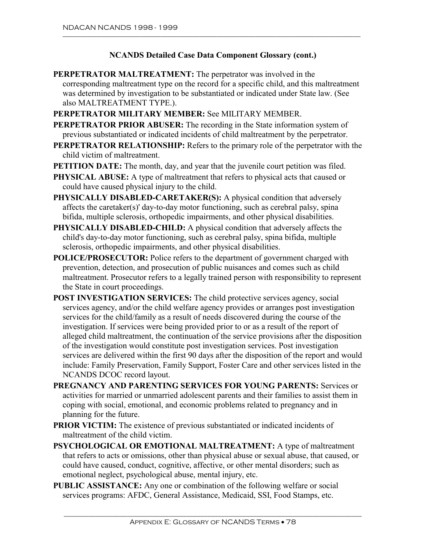- **PERPETRATOR MALTREATMENT:** The perpetrator was involved in the corresponding maltreatment type on the record for a specific child, and this maltreatment was determined by investigation to be substantiated or indicated under State law. (See also MALTREATMENT TYPE.).
- **PERPETRATOR MILITARY MEMBER:** See MILITARY MEMBER.
- **PERPETRATOR PRIOR ABUSER:** The recording in the State information system of previous substantiated or indicated incidents of child maltreatment by the perpetrator.
- **PERPETRATOR RELATIONSHIP:** Refers to the primary role of the perpetrator with the child victim of maltreatment.
- **PETITION DATE:** The month, day, and year that the juvenile court petition was filed.
- **PHYSICAL ABUSE:** A type of maltreatment that refers to physical acts that caused or could have caused physical injury to the child.
- **PHYSICALLY DISABLED-CARETAKER(S):** A physical condition that adversely affects the caretaker(s)' day-to-day motor functioning, such as cerebral palsy, spina bifida, multiple sclerosis, orthopedic impairments, and other physical disabilities.
- **PHYSICALLY DISABLED-CHILD:** A physical condition that adversely affects the child's day-to-day motor functioning, such as cerebral palsy, spina bifida, multiple sclerosis, orthopedic impairments, and other physical disabilities.
- **POLICE/PROSECUTOR:** Police refers to the department of government charged with prevention, detection, and prosecution of public nuisances and comes such as child maltreatment. Prosecutor refers to a legally trained person with responsibility to represent the State in court proceedings.
- **POST INVESTIGATION SERVICES:** The child protective services agency, social services agency, and/or the child welfare agency provides or arranges post investigation services for the child/family as a result of needs discovered during the course of the investigation. If services were being provided prior to or as a result of the report of alleged child maltreatment, the continuation of the service provisions after the disposition of the investigation would constitute post investigation services. Post investigation services are delivered within the first 90 days after the disposition of the report and would include: Family Preservation, Family Support, Foster Care and other services listed in the NCANDS DCOC record layout.
- **PREGNANCY AND PARENTING SERVICES FOR YOUNG PARENTS:** Services or activities for married or unmarried adolescent parents and their families to assist them in coping with social, emotional, and economic problems related to pregnancy and in planning for the future.
- **PRIOR VICTIM:** The existence of previous substantiated or indicated incidents of maltreatment of the child victim.
- **PSYCHOLOGICAL OR EMOTIONAL MALTREATMENT:** A type of maltreatment that refers to acts or omissions, other than physical abuse or sexual abuse, that caused, or could have caused, conduct, cognitive, affective, or other mental disorders; such as emotional neglect, psychological abuse, mental injury, etc.
- **PUBLIC ASSISTANCE:** Any one or combination of the following welfare or social services programs: AFDC, General Assistance, Medicaid, SSI, Food Stamps, etc.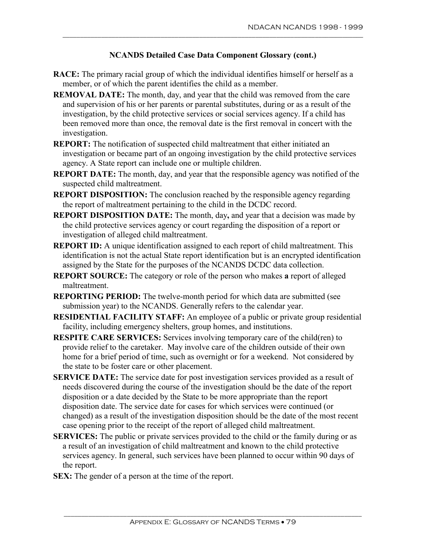- **RACE:** The primary racial group of which the individual identifies himself or herself as a member, or of which the parent identifies the child as a member.
- **REMOVAL DATE:** The month, day, and year that the child was removed from the care and supervision of his or her parents or parental substitutes, during or as a result of the investigation, by the child protective services or social services agency. If a child has been removed more than once, the removal date is the first removal in concert with the investigation.
- **REPORT:** The notification of suspected child maltreatment that either initiated an investigation or became part of an ongoing investigation by the child protective services agency. A State report can include one or multiple children.
- **REPORT DATE:** The month, day, and year that the responsible agency was notified of the suspected child maltreatment.
- **REPORT DISPOSITION:** The conclusion reached by the responsible agency regarding the report of maltreatment pertaining to the child in the DCDC record.
- **REPORT DISPOSITION DATE:** The month, day**,** and year that a decision was made by the child protective services agency or court regarding the disposition of a report or investigation of alleged child maltreatment.
- **REPORT ID:** A unique identification assigned to each report of child maltreatment. This identification is not the actual State report identification but is an encrypted identification assigned by the State for the purposes of the NCANDS DCDC data collection.
- **REPORT SOURCE:** The category or role of the person who makes **a** report of alleged maltreatment.
- **REPORTING PERIOD:** The twelve-month period for which data are submitted (see submission year) to the NCANDS. Generally refers to the calendar year.
- **RESIDENTIAL FACILITY STAFF:** An employee of a public or private group residential facility, including emergency shelters, group homes, and institutions.
- **RESPITE CARE SERVICES:** Services involving temporary care of the child(ren) to provide relief to the caretaker. May involve care of the children outside of their own home for a brief period of time, such as overnight or for a weekend. Not considered by the state to be foster care or other placement.
- **SERVICE DATE:** The service date for post investigation services provided as a result of needs discovered during the course of the investigation should be the date of the report disposition or a date decided by the State to be more appropriate than the report disposition date. The service date for cases for which services were continued (or changed) as a result of the investigation disposition should be the date of the most recent case opening prior to the receipt of the report of alleged child maltreatment.
- **SERVICES:** The public or private services provided to the child or the family during or as a result of an investigation of child maltreatment and known to the child protective services agency. In general, such services have been planned to occur within 90 days of the report.
- **SEX:** The gender of a person at the time of the report.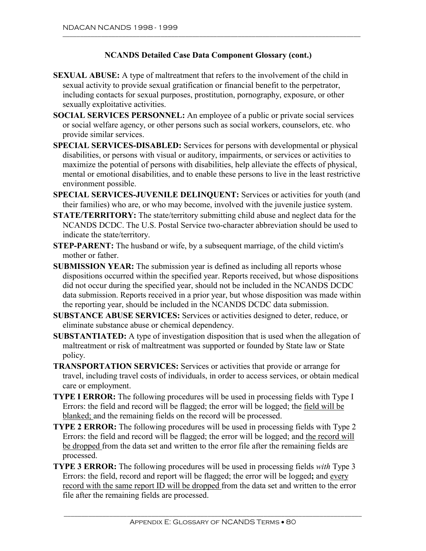- **SEXUAL ABUSE:** A type of maltreatment that refers to the involvement of the child in sexual activity to provide sexual gratification or financial benefit to the perpetrator, including contacts for sexual purposes, prostitution, pornography, exposure, or other sexually exploitative activities.
- **SOCIAL SERVICES PERSONNEL:** An employee of a public or private social services or social welfare agency, or other persons such as social workers, counselors, etc. who provide similar services.
- **SPECIAL SERVICES-DISABLED:** Services for persons with developmental or physical disabilities, or persons with visual or auditory, impairments, or services or activities to maximize the potential of persons with disabilities, help alleviate the effects of physical, mental or emotional disabilities, and to enable these persons to live in the least restrictive environment possible.
- **SPECIAL SERVICES-JUVENILE DELINQUENT:** Services or activities for youth (and their families) who are, or who may become, involved with the juvenile justice system.
- **STATE/TERRITORY:** The state/territory submitting child abuse and neglect data for the NCANDS DCDC. The U.S. Postal Service two-character abbreviation should be used to indicate the state/territory.
- **STEP-PARENT:** The husband or wife, by a subsequent marriage, of the child victim's mother or father.
- **SUBMISSION YEAR:** The submission year is defined as including all reports whose dispositions occurred within the specified year. Reports received, but whose dispositions did not occur during the specified year, should not be included in the NCANDS DCDC data submission. Reports received in a prior year, but whose disposition was made within the reporting year, should be included in the NCANDS DCDC data submission.
- **SUBSTANCE ABUSE SERVICES:** Services or activities designed to deter, reduce, or eliminate substance abuse or chemical dependency.
- **SUBSTANTIATED:** A type of investigation disposition that is used when the allegation of maltreatment or risk of maltreatment was supported or founded by State law or State policy.
- **TRANSPORTATION SERVICES:** Services or activities that provide or arrange for travel, including travel costs of individuals, in order to access services, or obtain medical care or employment.
- **TYPE I ERROR:** The following procedures will be used in processing fields with Type I Errors: the field and record will be flagged; the error will be logged; the field will be blanked; and the remaining fields on the record will be processed.
- **TYPE 2 ERROR:** The following procedures will be used in processing fields with Type 2 Errors: the field and record will be flagged; the error will be logged; and the record will be dropped from the data set and written to the error file after the remaining fields are processed.
- **TYPE 3 ERROR:** The following procedures will be used in processing fields *with* Type 3 Errors: the field, record and report will be flagged; the error will be logged**;** and every record with the same report ID will be dropped from the data set and written to the error file after the remaining fields are processed.